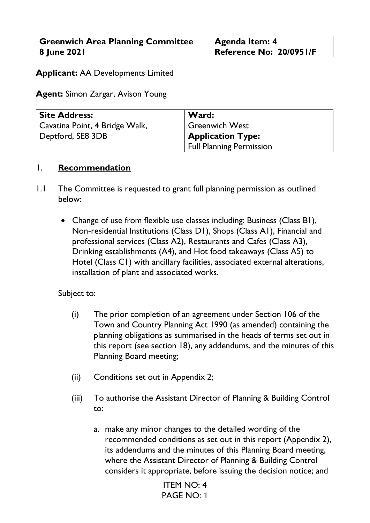| <b>Greenwich Area Planning Committee</b> | <b>Agenda Item: 4</b>   |
|------------------------------------------|-------------------------|
| 8 June 2021                              | Reference No: 20/0951/F |

# **Applicant:** AA Developments Limited

**Agent:** Simon Zargar, Avison Young

| <b>Site Address:</b>           | Ward:                           |
|--------------------------------|---------------------------------|
| Cavatina Point, 4 Bridge Walk, | <b>Greenwich West</b>           |
| Deptford, SE8 3DB              | <b>Application Type:</b>        |
|                                | <b>Full Planning Permission</b> |

#### 1. **Recommendation**

- 1.1 The Committee is requested to grant full planning permission as outlined below:
	- Change of use from flexible use classes including: Business (Class B1), Non-residential Institutions (Class D1), Shops (Class A1), Financial and professional services (Class A2), Restaurants and Cafes (Class A3), Drinking establishments (A4), and Hot food takeaways (Class A5) to Hotel (Class C1) with ancillary facilities, associated external alterations, installation of plant and associated works.

Subject to:

- (i) The prior completion of an agreement under Section 106 of the Town and Country Planning Act 1990 (as amended) containing the planning obligations as summarised in the heads of terms set out in this report (see section 18), any addendums, and the minutes of this Planning Board meeting;
- (ii) Conditions set out in Appendix 2;
- (iii) To authorise the Assistant Director of Planning & Building Control to:
	- a. make any minor changes to the detailed wording of the recommended conditions as set out in this report (Appendix 2), its addendums and the minutes of this Planning Board meeting, where the Assistant Director of Planning & Building Control considers it appropriate, before issuing the decision notice; and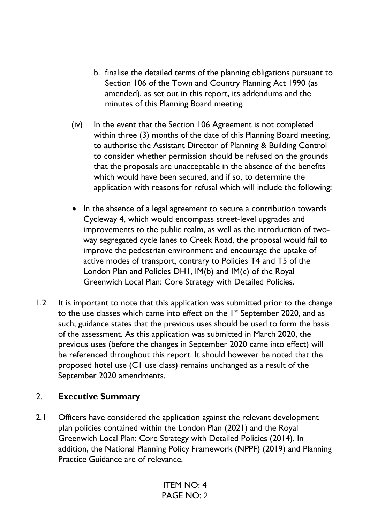- b. finalise the detailed terms of the planning obligations pursuant to Section 106 of the Town and Country Planning Act 1990 (as amended), as set out in this report, its addendums and the minutes of this Planning Board meeting.
- (iv) In the event that the Section 106 Agreement is not completed within three (3) months of the date of this Planning Board meeting, to authorise the Assistant Director of Planning & Building Control to consider whether permission should be refused on the grounds that the proposals are unacceptable in the absence of the benefits which would have been secured, and if so, to determine the application with reasons for refusal which will include the following:
- In the absence of a legal agreement to secure a contribution towards Cycleway 4, which would encompass street-level upgrades and improvements to the public realm, as well as the introduction of twoway segregated cycle lanes to Creek Road, the proposal would fail to improve the pedestrian environment and encourage the uptake of active modes of transport, contrary to Policies T4 and T5 of the London Plan and Policies DH1, IM(b) and IM(c) of the Royal Greenwich Local Plan: Core Strategy with Detailed Policies.
- 1.2 It is important to note that this application was submitted prior to the change to the use classes which came into effect on the  $1<sup>st</sup>$  September 2020, and as such, guidance states that the previous uses should be used to form the basis of the assessment. As this application was submitted in March 2020, the previous uses (before the changes in September 2020 came into effect) will be referenced throughout this report. It should however be noted that the proposed hotel use (C1 use class) remains unchanged as a result of the September 2020 amendments.

# 2. **Executive Summary**

2.1 Officers have considered the application against the relevant development plan policies contained within the London Plan (2021) and the Royal Greenwich Local Plan: Core Strategy with Detailed Policies (2014). In addition, the National Planning Policy Framework (NPPF) (2019) and Planning Practice Guidance are of relevance.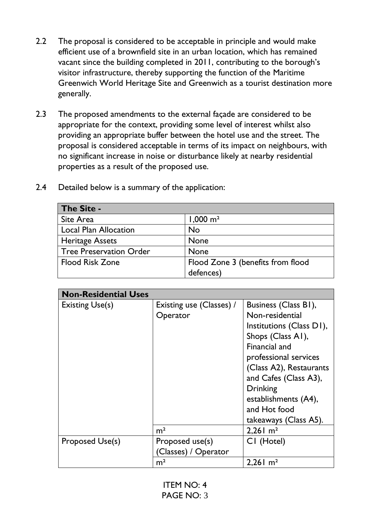- 2.2 The proposal is considered to be acceptable in principle and would make efficient use of a brownfield site in an urban location, which has remained vacant since the building completed in 2011, contributing to the borough's visitor infrastructure, thereby supporting the function of the Maritime Greenwich World Heritage Site and Greenwich as a tourist destination more generally.
- 2.3 The proposed amendments to the external façade are considered to be appropriate for the context, providing some level of interest whilst also providing an appropriate buffer between the hotel use and the street. The proposal is considered acceptable in terms of its impact on neighbours, with no significant increase in noise or disturbance likely at nearby residential properties as a result of the proposed use.

| The Site -                     |                                   |
|--------------------------------|-----------------------------------|
| Site Area                      | $1,000 \text{ m}^2$               |
| <b>Local Plan Allocation</b>   | <b>No</b>                         |
| <b>Heritage Assets</b>         | <b>None</b>                       |
| <b>Tree Preservation Order</b> | <b>None</b>                       |
| <b>Flood Risk Zone</b>         | Flood Zone 3 (benefits from flood |
|                                | defences)                         |

2.4 Detailed below is a summary of the application:

| <b>Non-Residential Uses</b> |                          |                          |
|-----------------------------|--------------------------|--------------------------|
| <b>Existing Use(s)</b>      | Existing use (Classes) / | Business (Class B1),     |
|                             | Operator                 | Non-residential          |
|                             |                          | Institutions (Class D1), |
|                             |                          | Shops (Class A1),        |
|                             |                          | Financial and            |
|                             |                          | professional services    |
|                             |                          | (Class A2), Restaurants  |
|                             |                          | and Cafes (Class A3),    |
|                             |                          | <b>Drinking</b>          |
|                             |                          | establishments (A4),     |
|                             |                          | and Hot food             |
|                             |                          | takeaways (Class A5).    |
|                             | m <sup>2</sup>           | $2,261 \text{ m}^2$      |
| Proposed Use(s)             | Proposed use(s)          | CI (Hotel)               |
|                             | Classes) / Operator      |                          |
|                             | m <sup>2</sup>           | $2,261 \text{ m}^2$      |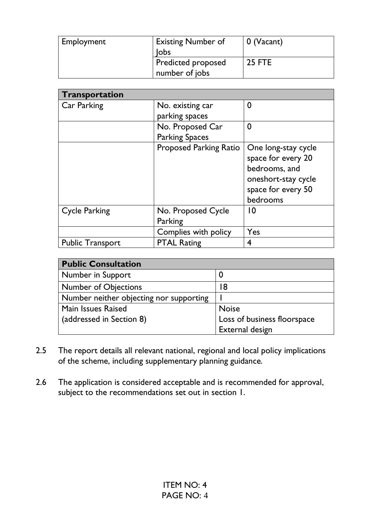| Employment | <b>Existing Number of</b><br>Jobs    | 0 (Vacant)    |
|------------|--------------------------------------|---------------|
|            | Predicted proposed<br>number of jobs | <b>25 FTE</b> |

| Transportation          |                               |                     |
|-------------------------|-------------------------------|---------------------|
| Car Parking             | No. existing car              | 0                   |
|                         | parking spaces                |                     |
|                         | No. Proposed Car              | $\mathbf 0$         |
|                         | <b>Parking Spaces</b>         |                     |
|                         | <b>Proposed Parking Ratio</b> | One long-stay cycle |
|                         |                               | space for every 20  |
|                         |                               | bedrooms, and       |
|                         |                               | oneshort-stay cycle |
|                         |                               | space for every 50  |
|                         |                               | bedrooms            |
| <b>Cycle Parking</b>    | No. Proposed Cycle            | 10                  |
|                         | Parking                       |                     |
|                         | Complies with policy          | Yes                 |
| <b>Public Transport</b> | <b>PTAL Rating</b>            | 4                   |

| <b>Public Consultation</b>              |                             |
|-----------------------------------------|-----------------------------|
| Number in Support                       | U                           |
| <b>Number of Objections</b>             | 8                           |
| Number neither objecting nor supporting |                             |
| Main Issues Raised                      | <b>Noise</b>                |
| (addressed in Section 8)                | Loss of business floorspace |
|                                         | External design             |

- 2.5 The report details all relevant national, regional and local policy implications of the scheme, including supplementary planning guidance.
- 2.6 The application is considered acceptable and is recommended for approval, subject to the recommendations set out in section 1.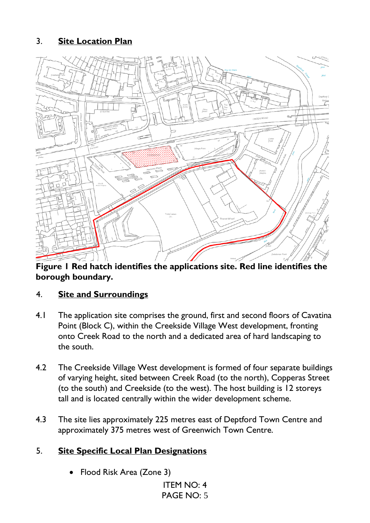# 3. **Site Location Plan**



**Figure 1 Red hatch identifies the applications site. Red line identifies the borough boundary.**

# 4. **Site and Surroundings**

- 4.1 The application site comprises the ground, first and second floors of Cavatina Point (Block C), within the Creekside Village West development, fronting onto Creek Road to the north and a dedicated area of hard landscaping to the south.
- 4.2 The Creekside Village West development is formed of four separate buildings of varying height, sited between Creek Road (to the north), Copperas Street (to the south) and Creekside (to the west). The host building is 12 storeys tall and is located centrally within the wider development scheme.
- 4.3 The site lies approximately 225 metres east of Deptford Town Centre and approximately 375 metres west of Greenwich Town Centre.

# 5. **Site Specific Local Plan Designations**

• Flood Risk Area (Zone 3)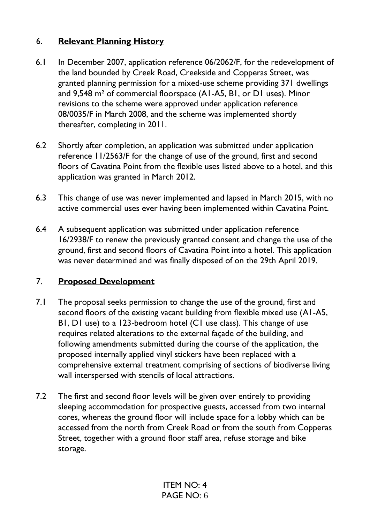# 6. **Relevant Planning History**

- 6.1 In December 2007, application reference 06/2062/F, for the redevelopment of the land bounded by Creek Road, Creekside and Copperas Street, was granted planning permission for a mixed-use scheme providing 371 dwellings and 9,548 m² of commercial floorspace (A1-A5, B1, or D1 uses). Minor revisions to the scheme were approved under application reference 08/0035/F in March 2008, and the scheme was implemented shortly thereafter, completing in 2011.
- 6.2 Shortly after completion, an application was submitted under application reference 11/2563/F for the change of use of the ground, first and second floors of Cavatina Point from the flexible uses listed above to a hotel, and this application was granted in March 2012.
- 6.3 This change of use was never implemented and lapsed in March 2015, with no active commercial uses ever having been implemented within Cavatina Point.
- 6.4 A subsequent application was submitted under application reference 16/2938/F to renew the previously granted consent and change the use of the ground, first and second floors of Cavatina Point into a hotel. This application was never determined and was finally disposed of on the 29th April 2019.

# 7. **Proposed Development**

- 7.1 The proposal seeks permission to change the use of the ground, first and second floors of the existing vacant building from flexible mixed use (A1-A5, B1, D1 use) to a 123-bedroom hotel (C1 use class). This change of use requires related alterations to the external façade of the building, and following amendments submitted during the course of the application, the proposed internally applied vinyl stickers have been replaced with a comprehensive external treatment comprising of sections of biodiverse living wall interspersed with stencils of local attractions.
- 7.2 The first and second floor levels will be given over entirely to providing sleeping accommodation for prospective guests, accessed from two internal cores, whereas the ground floor will include space for a lobby which can be accessed from the north from Creek Road or from the south from Copperas Street, together with a ground floor staff area, refuse storage and bike storage.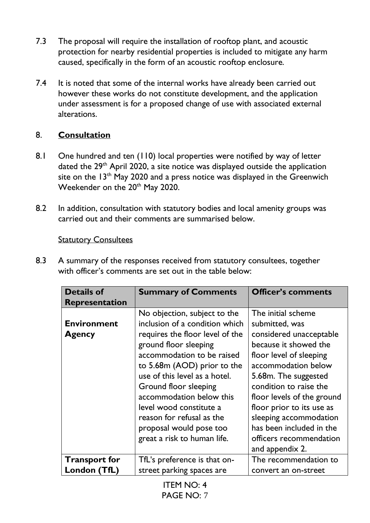- 7.3 The proposal will require the installation of rooftop plant, and acoustic protection for nearby residential properties is included to mitigate any harm caused, specifically in the form of an acoustic rooftop enclosure.
- 7.4 It is noted that some of the internal works have already been carried out however these works do not constitute development, and the application under assessment is for a proposed change of use with associated external alterations.

# 8. **Consultation**

- 8.1 One hundred and ten (110) local properties were notified by way of letter dated the 29<sup>th</sup> April 2020, a site notice was displayed outside the application site on the  $13<sup>th</sup>$  May 2020 and a press notice was displayed in the Greenwich Weekender on the 20<sup>th</sup> May 2020.
- 8.2 In addition, consultation with statutory bodies and local amenity groups was carried out and their comments are summarised below.

#### **Statutory Consultees**

8.3 A summary of the responses received from statutory consultees, together with officer's comments are set out in the table below:

| <b>Details of</b>     | <b>Summary of Comments</b>      | <b>Officer's comments</b>  |
|-----------------------|---------------------------------|----------------------------|
| <b>Representation</b> |                                 |                            |
|                       | No objection, subject to the    | The initial scheme         |
| <b>Environment</b>    | inclusion of a condition which  | submitted, was             |
| <b>Agency</b>         | requires the floor level of the | considered unacceptable    |
|                       | ground floor sleeping           | because it showed the      |
|                       | accommodation to be raised      | floor level of sleeping    |
|                       | to 5.68m (AOD) prior to the     | accommodation below        |
|                       | use of this level as a hotel.   | 5.68m. The suggested       |
|                       | Ground floor sleeping           | condition to raise the     |
|                       | accommodation below this        | floor levels of the ground |
|                       | level wood constitute a         | floor prior to its use as  |
|                       | reason for refusal as the       | sleeping accommodation     |
|                       | proposal would pose too         | has been included in the   |
|                       | great a risk to human life.     | officers recommendation    |
|                       |                                 | and appendix 2.            |
| <b>Transport for</b>  | TfL's preference is that on-    | The recommendation to      |
| London (TfL)          | street parking spaces are       | convert an on-street       |
|                       |                                 |                            |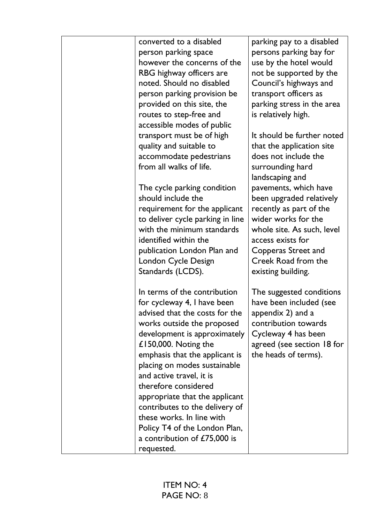| converted to a disabled<br>person parking space<br>however the concerns of the<br>RBG highway officers are<br>noted. Should no disabled<br>person parking provision be<br>provided on this site, the<br>routes to step-free and<br>accessible modes of public                                                                                                                                                                                                               | parking pay to a disabled<br>persons parking bay for<br>use by the hotel would<br>not be supported by the<br>Council's highways and<br>transport officers as<br>parking stress in the area<br>is relatively high.          |
|-----------------------------------------------------------------------------------------------------------------------------------------------------------------------------------------------------------------------------------------------------------------------------------------------------------------------------------------------------------------------------------------------------------------------------------------------------------------------------|----------------------------------------------------------------------------------------------------------------------------------------------------------------------------------------------------------------------------|
| transport must be of high<br>quality and suitable to<br>accommodate pedestrians<br>from all walks of life.                                                                                                                                                                                                                                                                                                                                                                  | It should be further noted<br>that the application site<br>does not include the<br>surrounding hard<br>landscaping and                                                                                                     |
| The cycle parking condition<br>should include the<br>requirement for the applicant<br>to deliver cycle parking in line<br>with the minimum standards<br>identified within the<br>publication London Plan and<br>London Cycle Design<br>Standards (LCDS).                                                                                                                                                                                                                    | pavements, which have<br>been upgraded relatively<br>recently as part of the<br>wider works for the<br>whole site. As such, level<br>access exists for<br>Copperas Street and<br>Creek Road from the<br>existing building. |
| In terms of the contribution<br>for cycleway 4, I have been<br>advised that the costs for the<br>works outside the proposed<br>development is approximately<br>£150,000. Noting the<br>emphasis that the applicant is<br>placing on modes sustainable<br>and active travel, it is<br>therefore considered<br>appropriate that the applicant<br>contributes to the delivery of<br>these works. In line with<br>Policy T4 of the London Plan,<br>a contribution of £75,000 is | The suggested conditions<br>have been included (see<br>appendix 2) and a<br>contribution towards<br>Cycleway 4 has been<br>agreed (see section 18 for<br>the heads of terms).                                              |
| requested.                                                                                                                                                                                                                                                                                                                                                                                                                                                                  |                                                                                                                                                                                                                            |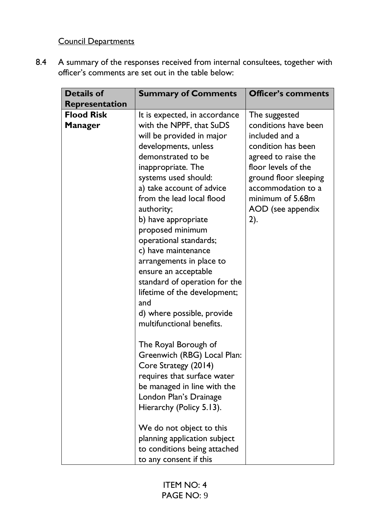# Council Departments

8.4 A summary of the responses received from internal consultees, together with officer's comments are set out in the table below:

| <b>Details of</b>                                            | <b>Summary of Comments</b>                                                                                                                                                                                                                                                                                                                                                                            | <b>Officer's comments</b>                                                                                          |
|--------------------------------------------------------------|-------------------------------------------------------------------------------------------------------------------------------------------------------------------------------------------------------------------------------------------------------------------------------------------------------------------------------------------------------------------------------------------------------|--------------------------------------------------------------------------------------------------------------------|
| <b>Representation</b><br><b>Flood Risk</b><br><b>Manager</b> | It is expected, in accordance<br>with the NPPF, that SuDS<br>will be provided in major<br>developments, unless<br>demonstrated to be                                                                                                                                                                                                                                                                  | The suggested<br>conditions have been<br>included and a<br>condition has been<br>agreed to raise the               |
|                                                              | inappropriate. The<br>systems used should:<br>a) take account of advice<br>from the lead local flood<br>authority;<br>b) have appropriate<br>proposed minimum<br>operational standards;<br>c) have maintenance<br>arrangements in place to<br>ensure an acceptable<br>standard of operation for the<br>lifetime of the development;<br>and<br>d) where possible, provide<br>multifunctional benefits. | floor levels of the<br>ground floor sleeping<br>accommodation to a<br>minimum of 5.68m<br>AOD (see appendix<br>2). |
|                                                              | The Royal Borough of<br>Greenwich (RBG) Local Plan:<br>Core Strategy (2014)<br>requires that surface water<br>be managed in line with the<br>London Plan's Drainage<br>Hierarchy (Policy 5.13).<br>We do not object to this<br>planning application subject<br>to conditions being attached<br>to any consent if this                                                                                 |                                                                                                                    |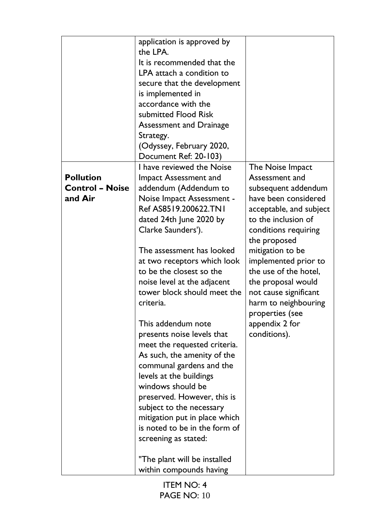|                                                       | application is approved by<br>the LPA.<br>It is recommended that the<br>LPA attach a condition to<br>secure that the development<br>is implemented in<br>accordance with the<br>submitted Flood Risk<br><b>Assessment and Drainage</b><br>Strategy.<br>(Odyssey, February 2020,<br>Document Ref: 20-103)                                                                                                                                                                                                                                                                                                                                                                                                                                                             |                                                                                                                                                                                                                                                                                                                                                                              |
|-------------------------------------------------------|----------------------------------------------------------------------------------------------------------------------------------------------------------------------------------------------------------------------------------------------------------------------------------------------------------------------------------------------------------------------------------------------------------------------------------------------------------------------------------------------------------------------------------------------------------------------------------------------------------------------------------------------------------------------------------------------------------------------------------------------------------------------|------------------------------------------------------------------------------------------------------------------------------------------------------------------------------------------------------------------------------------------------------------------------------------------------------------------------------------------------------------------------------|
| <b>Pollution</b><br><b>Control - Noise</b><br>and Air | I have reviewed the Noise<br>Impact Assessment and<br>addendum (Addendum to<br>Noise Impact Assessment -<br>Ref AS8519.200622.TN1<br>dated 24th June 2020 by<br>Clarke Saunders').<br>The assessment has looked<br>at two receptors which look<br>to be the closest so the<br>noise level at the adjacent<br>tower block should meet the<br>criteria.<br>This addendum note<br>presents noise levels that<br>meet the requested criteria.<br>As such, the amenity of the<br>communal gardens and the<br>levels at the buildings<br>windows should be<br>preserved. However, this is<br>subject to the necessary<br>mitigation put in place which<br>is noted to be in the form of<br>screening as stated:<br>"The plant will be installed<br>within compounds having | The Noise Impact<br>Assessment and<br>subsequent addendum<br>have been considered<br>acceptable, and subject<br>to the inclusion of<br>conditions requiring<br>the proposed<br>mitigation to be<br>implemented prior to<br>the use of the hotel,<br>the proposal would<br>not cause significant<br>harm to neighbouring<br>properties (see<br>appendix 2 for<br>conditions). |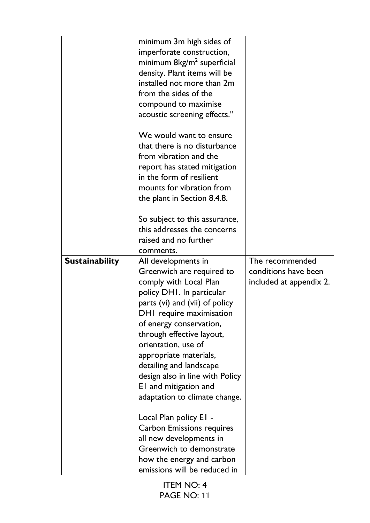|                       | minimum 3m high sides of<br>imperforate construction,<br>minimum 8kg/m <sup>2</sup> superficial<br>density. Plant items will be<br>installed not more than 2m<br>from the sides of the<br>compound to maximise<br>acoustic screening effects."<br>We would want to ensure<br>that there is no disturbance<br>from vibration and the<br>report has stated mitigation<br>in the form of resilient<br>mounts for vibration from<br>the plant in Section 8.4.8.<br>So subject to this assurance,<br>this addresses the concerns<br>raised and no further |                                                                    |
|-----------------------|------------------------------------------------------------------------------------------------------------------------------------------------------------------------------------------------------------------------------------------------------------------------------------------------------------------------------------------------------------------------------------------------------------------------------------------------------------------------------------------------------------------------------------------------------|--------------------------------------------------------------------|
|                       | comments.                                                                                                                                                                                                                                                                                                                                                                                                                                                                                                                                            |                                                                    |
| <b>Sustainability</b> | All developments in<br>Greenwich are required to<br>comply with Local Plan<br>policy DHI. In particular<br>parts (vi) and (vii) of policy<br>DHI require maximisation<br>of energy conservation,<br>through effective layout,<br>orientation, use of<br>appropriate materials,<br>detailing and landscape<br>design also in line with Policy<br>EI and mitigation and<br>adaptation to climate change.                                                                                                                                               | The recommended<br>conditions have been<br>included at appendix 2. |
|                       | Local Plan policy EI -<br>Carbon Emissions requires<br>all new developments in<br>Greenwich to demonstrate<br>how the energy and carbon<br>emissions will be reduced in                                                                                                                                                                                                                                                                                                                                                                              |                                                                    |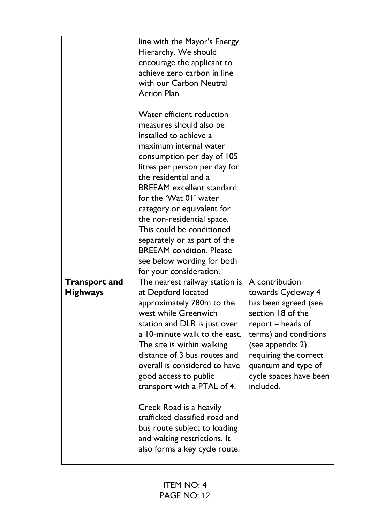|                                         | line with the Mayor's Energy<br>Hierarchy. We should<br>encourage the applicant to<br>achieve zero carbon in line<br>with our Carbon Neutral<br><b>Action Plan.</b><br>Water efficient reduction<br>measures should also be<br>installed to achieve a<br>maximum internal water<br>consumption per day of 105<br>litres per person per day for<br>the residential and a<br><b>BREEAM</b> excellent standard<br>for the 'Wat 01' water<br>category or equivalent for<br>the non-residential space.<br>This could be conditioned<br>separately or as part of the<br><b>BREEAM</b> condition. Please<br>see below wording for both |                                                                                                                                                                            |
|-----------------------------------------|---------------------------------------------------------------------------------------------------------------------------------------------------------------------------------------------------------------------------------------------------------------------------------------------------------------------------------------------------------------------------------------------------------------------------------------------------------------------------------------------------------------------------------------------------------------------------------------------------------------------------------|----------------------------------------------------------------------------------------------------------------------------------------------------------------------------|
| <b>Transport and</b><br><b>Highways</b> | for your consideration.<br>The nearest railway station is<br>at Deptford located<br>approximately 780m to the                                                                                                                                                                                                                                                                                                                                                                                                                                                                                                                   | A contribution<br>towards Cycleway 4<br>has been agreed (see                                                                                                               |
|                                         | west while Greenwich<br>station and DLR is just over<br>a 10-minute walk to the east.<br>The site is within walking<br>distance of 3 bus routes and<br>overall is considered to have<br>good access to public<br>transport with a PTAL of 4.                                                                                                                                                                                                                                                                                                                                                                                    | section 18 of the<br>report – heads of<br>terms) and conditions<br>(see appendix 2)<br>requiring the correct<br>quantum and type of<br>cycle spaces have been<br>included. |
|                                         | Creek Road is a heavily<br>trafficked classified road and<br>bus route subject to loading<br>and waiting restrictions. It<br>also forms a key cycle route.                                                                                                                                                                                                                                                                                                                                                                                                                                                                      |                                                                                                                                                                            |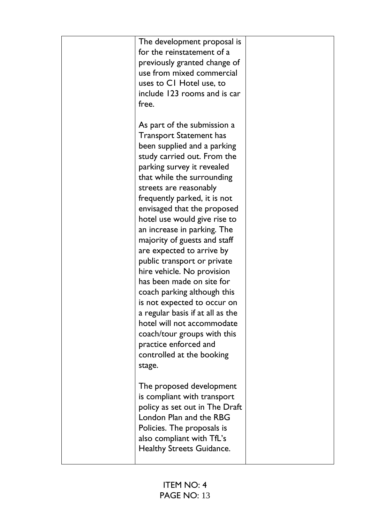| The development proposal is<br>for the reinstatement of a<br>previously granted change of<br>use from mixed commercial<br>uses to CI Hotel use, to<br>include 123 rooms and is car<br>free.                                                                                                                                                                                                                                                                                                                                           |  |
|---------------------------------------------------------------------------------------------------------------------------------------------------------------------------------------------------------------------------------------------------------------------------------------------------------------------------------------------------------------------------------------------------------------------------------------------------------------------------------------------------------------------------------------|--|
| As part of the submission a<br><b>Transport Statement has</b><br>been supplied and a parking<br>study carried out. From the<br>parking survey it revealed<br>that while the surrounding<br>streets are reasonably<br>frequently parked, it is not<br>envisaged that the proposed<br>hotel use would give rise to<br>an increase in parking. The<br>majority of guests and staff<br>are expected to arrive by<br>public transport or private<br>hire vehicle. No provision<br>has been made on site for<br>coach parking although this |  |
| is not expected to occur on<br>a regular basis if at all as the<br>hotel will not accommodate<br>coach/tour groups with this<br>practice enforced and<br>controlled at the booking<br>stage.                                                                                                                                                                                                                                                                                                                                          |  |
| The proposed development<br>is compliant with transport<br>policy as set out in The Draft<br>London Plan and the RBG<br>Policies. The proposals is<br>also compliant with TfL's<br><b>Healthy Streets Guidance.</b>                                                                                                                                                                                                                                                                                                                   |  |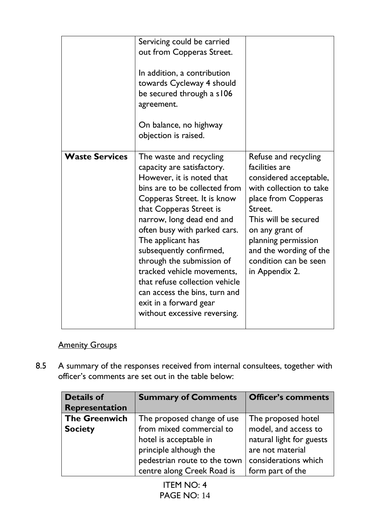|                       | Servicing could be carried<br>out from Copperas Street.<br>In addition, a contribution<br>towards Cycleway 4 should<br>be secured through a s106<br>agreement.<br>On balance, no highway<br>objection is raised.                                                                                                                                                                                                                                                                   |                                                                                                                                                                                                                                                                      |
|-----------------------|------------------------------------------------------------------------------------------------------------------------------------------------------------------------------------------------------------------------------------------------------------------------------------------------------------------------------------------------------------------------------------------------------------------------------------------------------------------------------------|----------------------------------------------------------------------------------------------------------------------------------------------------------------------------------------------------------------------------------------------------------------------|
| <b>Waste Services</b> | The waste and recycling<br>capacity are satisfactory.<br>However, it is noted that<br>bins are to be collected from<br>Copperas Street. It is know<br>that Copperas Street is<br>narrow, long dead end and<br>often busy with parked cars.<br>The applicant has<br>subsequently confirmed,<br>through the submission of<br>tracked vehicle movements,<br>that refuse collection vehicle<br>can access the bins, turn and<br>exit in a forward gear<br>without excessive reversing. | Refuse and recycling<br>facilities are<br>considered acceptable,<br>with collection to take<br>place from Copperas<br>Street.<br>This will be secured<br>on any grant of<br>planning permission<br>and the wording of the<br>condition can be seen<br>in Appendix 2. |

# **Amenity Groups**

8.5 A summary of the responses received from internal consultees, together with officer's comments are set out in the table below:

| <b>Details of</b>     | <b>Summary of Comments</b>   | <b>Officer's comments</b> |
|-----------------------|------------------------------|---------------------------|
| <b>Representation</b> |                              |                           |
| <b>The Greenwich</b>  | The proposed change of use   | The proposed hotel        |
| <b>Society</b>        | from mixed commercial to     | model, and access to      |
|                       | hotel is acceptable in       | natural light for guests  |
|                       | principle although the       | are not material          |
|                       | pedestrian route to the town | considerations which      |
|                       | centre along Creek Road is   | form part of the          |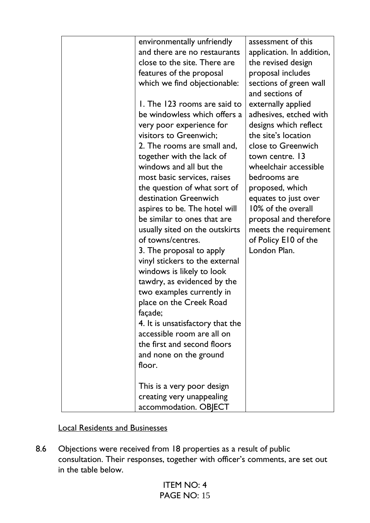| environmentally unfriendly                                   | assessment of this                         |
|--------------------------------------------------------------|--------------------------------------------|
| and there are no restaurants                                 | application. In addition,                  |
| close to the site. There are                                 | the revised design                         |
| features of the proposal                                     | proposal includes                          |
| which we find objectionable:                                 | sections of green wall                     |
|                                                              | and sections of                            |
| 1. The 123 rooms are said to                                 | externally applied                         |
| be windowless which offers a                                 | adhesives, etched with                     |
| very poor experience for                                     | designs which reflect                      |
| visitors to Greenwich;                                       | the site's location                        |
| 2. The rooms are small and,                                  | close to Greenwich                         |
| together with the lack of                                    | town centre. 13                            |
| windows and all but the                                      | wheelchair accessible                      |
| most basic services, raises                                  | bedrooms are                               |
| the question of what sort of                                 | proposed, which                            |
| destination Greenwich                                        |                                            |
|                                                              | equates to just over<br>10% of the overall |
| aspires to be. The hotel will<br>be similar to ones that are |                                            |
|                                                              | proposal and therefore                     |
| usually sited on the outskirts<br>of towns/centres.          | meets the requirement                      |
|                                                              | of Policy E10 of the<br>London Plan.       |
| 3. The proposal to apply                                     |                                            |
| vinyl stickers to the external                               |                                            |
| windows is likely to look                                    |                                            |
| tawdry, as evidenced by the                                  |                                            |
| two examples currently in                                    |                                            |
| place on the Creek Road                                      |                                            |
| façade;                                                      |                                            |
| 4. It is unsatisfactory that the                             |                                            |
| accessible room are all on                                   |                                            |
| the first and second floors                                  |                                            |
| and none on the ground                                       |                                            |
| floor.                                                       |                                            |
|                                                              |                                            |
| This is a very poor design                                   |                                            |
| creating very unappealing                                    |                                            |
| accommodation. OBJECT                                        |                                            |

# Local Residents and Businesses

8.6 Objections were received from 18 properties as a result of public consultation. Their responses, together with officer's comments, are set out in the table below.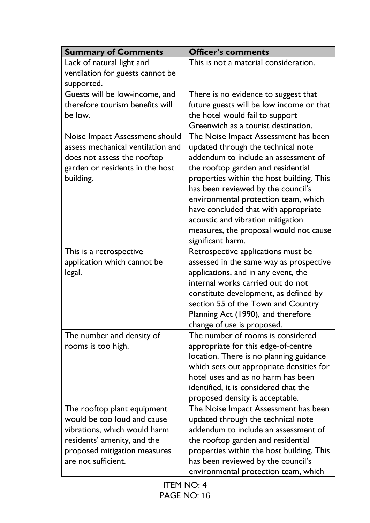| <b>Summary of Comments</b>        | <b>Officer's comments</b>                 |
|-----------------------------------|-------------------------------------------|
| Lack of natural light and         | This is not a material consideration.     |
| ventilation for guests cannot be  |                                           |
| supported.                        |                                           |
| Guests will be low-income, and    | There is no evidence to suggest that      |
| therefore tourism benefits will   | future guests will be low income or that  |
| be low.                           | the hotel would fail to support           |
|                                   | Greenwich as a tourist destination.       |
| Noise Impact Assessment should    | The Noise Impact Assessment has been      |
| assess mechanical ventilation and | updated through the technical note        |
| does not assess the rooftop       | addendum to include an assessment of      |
| garden or residents in the host   | the rooftop garden and residential        |
| building.                         | properties within the host building. This |
|                                   | has been reviewed by the council's        |
|                                   | environmental protection team, which      |
|                                   | have concluded that with appropriate      |
|                                   | acoustic and vibration mitigation         |
|                                   | measures, the proposal would not cause    |
|                                   | significant harm.                         |
| This is a retrospective           | Retrospective applications must be        |
| application which cannot be       | assessed in the same way as prospective   |
| legal.                            | applications, and in any event, the       |
|                                   | internal works carried out do not         |
|                                   | constitute development, as defined by     |
|                                   | section 55 of the Town and Country        |
|                                   | Planning Act (1990), and therefore        |
|                                   | change of use is proposed.                |
| The number and density of         | The number of rooms is considered         |
| rooms is too high.                | appropriate for this edge-of-centre       |
|                                   | location. There is no planning guidance   |
|                                   | which sets out appropriate densities for  |
|                                   | hotel uses and as no harm has been        |
|                                   | identified, it is considered that the     |
|                                   | proposed density is acceptable.           |
| The rooftop plant equipment       | The Noise Impact Assessment has been      |
| would be too loud and cause       | updated through the technical note        |
| vibrations, which would harm      | addendum to include an assessment of      |
| residents' amenity, and the       | the rooftop garden and residential        |
| proposed mitigation measures      | properties within the host building. This |
| are not sufficient.               | has been reviewed by the council's        |
|                                   | environmental protection team, which      |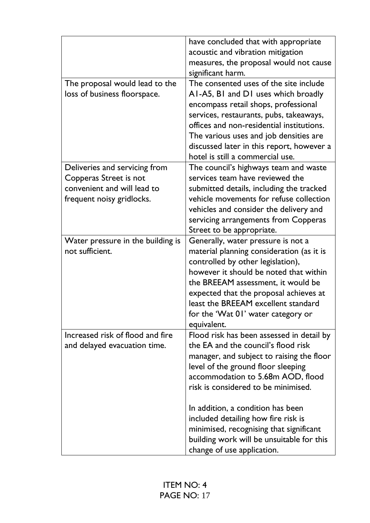|                                   | have concluded that with appropriate      |
|-----------------------------------|-------------------------------------------|
|                                   | acoustic and vibration mitigation         |
|                                   | measures, the proposal would not cause    |
|                                   | significant harm.                         |
| The proposal would lead to the    | The consented uses of the site include    |
| loss of business floorspace.      | AI-A5, BI and DI uses which broadly       |
|                                   | encompass retail shops, professional      |
|                                   | services, restaurants, pubs, takeaways,   |
|                                   | offices and non-residential institutions. |
|                                   | The various uses and job densities are    |
|                                   | discussed later in this report, however a |
|                                   | hotel is still a commercial use.          |
| Deliveries and servicing from     | The council's highways team and waste     |
| Copperas Street is not            | services team have reviewed the           |
| convenient and will lead to       | submitted details, including the tracked  |
| frequent noisy gridlocks.         | vehicle movements for refuse collection   |
|                                   | vehicles and consider the delivery and    |
|                                   | servicing arrangements from Copperas      |
|                                   | Street to be appropriate.                 |
| Water pressure in the building is | Generally, water pressure is not a        |
| not sufficient.                   | material planning consideration (as it is |
|                                   | controlled by other legislation),         |
|                                   | however it should be noted that within    |
|                                   | the BREEAM assessment, it would be        |
|                                   | expected that the proposal achieves at    |
|                                   | least the BREEAM excellent standard       |
|                                   | for the 'Wat 01' water category or        |
|                                   | equivalent.                               |
| Increased risk of flood and fire  | Flood risk has been assessed in detail by |
| and delayed evacuation time.      | the EA and the council's flood risk       |
|                                   | manager, and subject to raising the floor |
|                                   | level of the ground floor sleeping        |
|                                   | accommodation to 5.68m AOD, flood         |
|                                   | risk is considered to be minimised.       |
|                                   |                                           |
|                                   | In addition, a condition has been         |
|                                   | included detailing how fire risk is       |
|                                   | minimised, recognising that significant   |
|                                   | building work will be unsuitable for this |
|                                   | change of use application.                |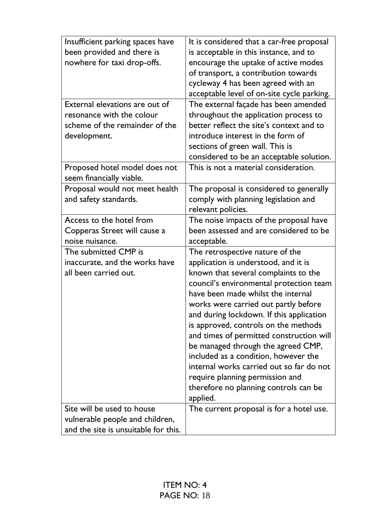| Insufficient parking spaces have<br>been provided and there is<br>nowhere for taxi drop-offs.<br>External elevations are out of | It is considered that a car-free proposal<br>is acceptable in this instance, and to<br>encourage the uptake of active modes<br>of transport, a contribution towards<br>cycleway 4 has been agreed with an<br>acceptable level of on-site cycle parking.<br>The external façade has been amended                                                                                                                                                                                                                                                                                            |
|---------------------------------------------------------------------------------------------------------------------------------|--------------------------------------------------------------------------------------------------------------------------------------------------------------------------------------------------------------------------------------------------------------------------------------------------------------------------------------------------------------------------------------------------------------------------------------------------------------------------------------------------------------------------------------------------------------------------------------------|
| resonance with the colour<br>scheme of the remainder of the<br>development.                                                     | throughout the application process to<br>better reflect the site's context and to<br>introduce interest in the form of<br>sections of green wall. This is                                                                                                                                                                                                                                                                                                                                                                                                                                  |
| Proposed hotel model does not<br>seem financially viable.                                                                       | considered to be an acceptable solution.<br>This is not a material consideration.                                                                                                                                                                                                                                                                                                                                                                                                                                                                                                          |
| Proposal would not meet health<br>and safety standards.                                                                         | The proposal is considered to generally<br>comply with planning legislation and<br>relevant policies.                                                                                                                                                                                                                                                                                                                                                                                                                                                                                      |
| Access to the hotel from<br>Copperas Street will cause a<br>noise nuisance.                                                     | The noise impacts of the proposal have<br>been assessed and are considered to be<br>acceptable.                                                                                                                                                                                                                                                                                                                                                                                                                                                                                            |
| The submitted CMP is<br>inaccurate, and the works have<br>all been carried out.<br>Site will be used to house                   | The retrospective nature of the<br>application is understood, and it is<br>known that several complaints to the<br>council's environmental protection team<br>have been made whilst the internal<br>works were carried out partly before<br>and during lockdown. If this application<br>is approved, controls on the methods<br>and times of permitted construction will<br>be managed through the agreed CMP,<br>included as a condition, however the<br>internal works carried out so far do not<br>require planning permission and<br>therefore no planning controls can be<br>applied. |
| vulnerable people and children,<br>and the site is unsuitable for this.                                                         | The current proposal is for a hotel use.                                                                                                                                                                                                                                                                                                                                                                                                                                                                                                                                                   |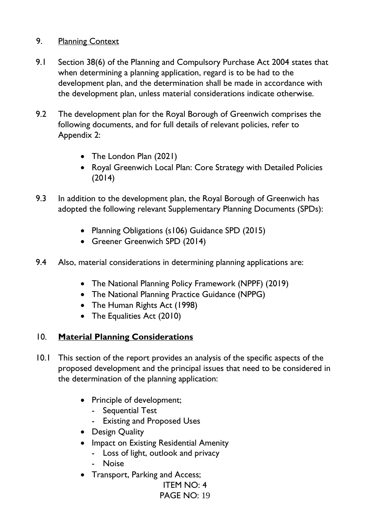# 9. Planning Context

- 9.1 Section 38(6) of the Planning and Compulsory Purchase Act 2004 states that when determining a planning application, regard is to be had to the development plan, and the determination shall be made in accordance with the development plan, unless material considerations indicate otherwise.
- 9.2 The development plan for the Royal Borough of Greenwich comprises the following documents, and for full details of relevant policies, refer to Appendix 2:
	- The London Plan (2021)
	- Royal Greenwich Local Plan: Core Strategy with Detailed Policies (2014)
- 9.3 In addition to the development plan, the Royal Borough of Greenwich has adopted the following relevant Supplementary Planning Documents (SPDs):
	- Planning Obligations (s106) Guidance SPD (2015)
	- Greener Greenwich SPD (2014)
- 9.4 Also, material considerations in determining planning applications are:
	- The National Planning Policy Framework (NPPF) (2019)
	- The National Planning Practice Guidance (NPPG)
	- The Human Rights Act (1998)
	- The Equalities Act (2010)

# 10. **Material Planning Considerations**

- 10.1 This section of the report provides an analysis of the specific aspects of the proposed development and the principal issues that need to be considered in the determination of the planning application:
	- Principle of development;
		- Sequential Test
		- Existing and Proposed Uses
	- Design Quality
	- Impact on Existing Residential Amenity
		- Loss of light, outlook and privacy
		- Noise
	- Transport, Parking and Access;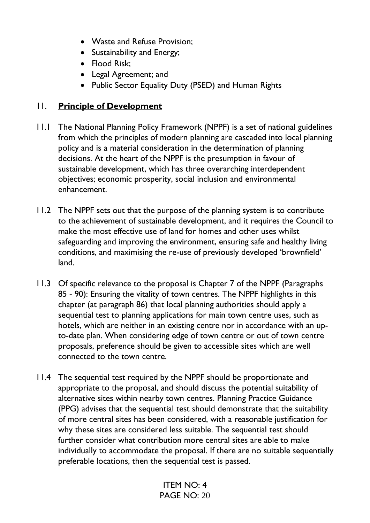- Waste and Refuse Provision;
- Sustainability and Energy;
- Flood Risk;
- Legal Agreement; and
- Public Sector Equality Duty (PSED) and Human Rights

# 11. **Principle of Development**

- 11.1 The National Planning Policy Framework (NPPF) is a set of national guidelines from which the principles of modern planning are cascaded into local planning policy and is a material consideration in the determination of planning decisions. At the heart of the NPPF is the presumption in favour of sustainable development, which has three overarching interdependent objectives; economic prosperity, social inclusion and environmental enhancement.
- 11.2 The NPPF sets out that the purpose of the planning system is to contribute to the achievement of sustainable development, and it requires the Council to make the most effective use of land for homes and other uses whilst safeguarding and improving the environment, ensuring safe and healthy living conditions, and maximising the re-use of previously developed 'brownfield' land.
- 11.3 Of specific relevance to the proposal is Chapter 7 of the NPPF (Paragraphs 85 - 90): Ensuring the vitality of town centres. The NPPF highlights in this chapter (at paragraph 86) that local planning authorities should apply a sequential test to planning applications for main town centre uses, such as hotels, which are neither in an existing centre nor in accordance with an upto-date plan. When considering edge of town centre or out of town centre proposals, preference should be given to accessible sites which are well connected to the town centre.
- 11.4 The sequential test required by the NPPF should be proportionate and appropriate to the proposal, and should discuss the potential suitability of alternative sites within nearby town centres. Planning Practice Guidance (PPG) advises that the sequential test should demonstrate that the suitability of more central sites has been considered, with a reasonable justification for why these sites are considered less suitable. The sequential test should further consider what contribution more central sites are able to make individually to accommodate the proposal. If there are no suitable sequentially preferable locations, then the sequential test is passed.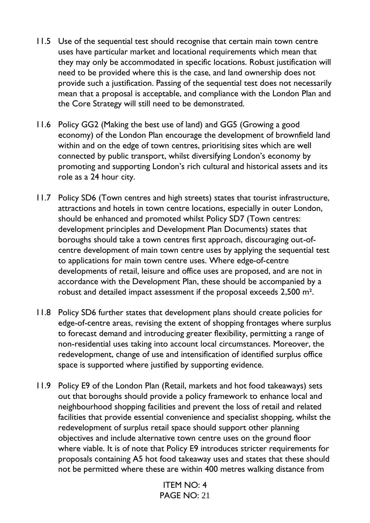- 11.5 Use of the sequential test should recognise that certain main town centre uses have particular market and locational requirements which mean that they may only be accommodated in specific locations. Robust justification will need to be provided where this is the case, and land ownership does not provide such a justification. Passing of the sequential test does not necessarily mean that a proposal is acceptable, and compliance with the London Plan and the Core Strategy will still need to be demonstrated.
- 11.6 Policy GG2 (Making the best use of land) and GG5 (Growing a good economy) of the London Plan encourage the development of brownfield land within and on the edge of town centres, prioritising sites which are well connected by public transport, whilst diversifying London's economy by promoting and supporting London's rich cultural and historical assets and its role as a 24 hour city.
- 11.7 Policy SD6 (Town centres and high streets) states that tourist infrastructure, attractions and hotels in town centre locations, especially in outer London, should be enhanced and promoted whilst Policy SD7 (Town centres: development principles and Development Plan Documents) states that boroughs should take a town centres first approach, discouraging out-ofcentre development of main town centre uses by applying the sequential test to applications for main town centre uses. Where edge-of-centre developments of retail, leisure and office uses are proposed, and are not in accordance with the Development Plan, these should be accompanied by a robust and detailed impact assessment if the proposal exceeds 2,500 m².
- 11.8 Policy SD6 further states that development plans should create policies for edge-of-centre areas, revising the extent of shopping frontages where surplus to forecast demand and introducing greater flexibility, permitting a range of non-residential uses taking into account local circumstances. Moreover, the redevelopment, change of use and intensification of identified surplus office space is supported where justified by supporting evidence.
- 11.9 Policy E9 of the London Plan (Retail, markets and hot food takeaways) sets out that boroughs should provide a policy framework to enhance local and neighbourhood shopping facilities and prevent the loss of retail and related facilities that provide essential convenience and specialist shopping, whilst the redevelopment of surplus retail space should support other planning objectives and include alternative town centre uses on the ground floor where viable. It is of note that Policy E9 introduces stricter requirements for proposals containing A5 hot food takeaway uses and states that these should not be permitted where these are within 400 metres walking distance from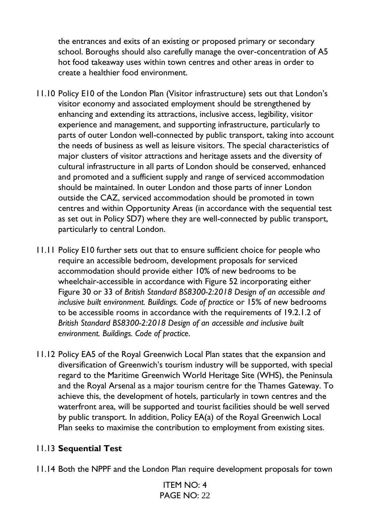the entrances and exits of an existing or proposed primary or secondary school. Boroughs should also carefully manage the over-concentration of A5 hot food takeaway uses within town centres and other areas in order to create a healthier food environment.

- 11.10 Policy E10 of the London Plan (Visitor infrastructure) sets out that London's visitor economy and associated employment should be strengthened by enhancing and extending its attractions, inclusive access, legibility, visitor experience and management, and supporting infrastructure, particularly to parts of outer London well-connected by public transport, taking into account the needs of business as well as leisure visitors. The special characteristics of major clusters of visitor attractions and heritage assets and the diversity of cultural infrastructure in all parts of London should be conserved, enhanced and promoted and a sufficient supply and range of serviced accommodation should be maintained. In outer London and those parts of inner London outside the CAZ, serviced accommodation should be promoted in town centres and within Opportunity Areas (in accordance with the sequential test as set out in Policy SD7) where they are well-connected by public transport, particularly to central London.
- 11.11 Policy E10 further sets out that to ensure sufficient choice for people who require an accessible bedroom, development proposals for serviced accommodation should provide either 10% of new bedrooms to be wheelchair-accessible in accordance with Figure 52 incorporating either Figure 30 or 33 of *British Standard BS8300-2:2018 Design of an accessible and inclusive built environment. Buildings. Code of practice* or 15% of new bedrooms to be accessible rooms in accordance with the requirements of 19.2.1.2 of *British Standard BS8300-2:2018 Design of an accessible and inclusive built environment. Buildings. Code of practice*.
- 11.12 Policy EA5 of the Royal Greenwich Local Plan states that the expansion and diversification of Greenwich's tourism industry will be supported, with special regard to the Maritime Greenwich World Heritage Site (WHS), the Peninsula and the Royal Arsenal as a major tourism centre for the Thames Gateway. To achieve this, the development of hotels, particularly in town centres and the waterfront area, will be supported and tourist facilities should be well served by public transport. In addition, Policy EA(a) of the Royal Greenwich Local Plan seeks to maximise the contribution to employment from existing sites.

# 11.13 **Sequential Test**

11.14 Both the NPPF and the London Plan require development proposals for town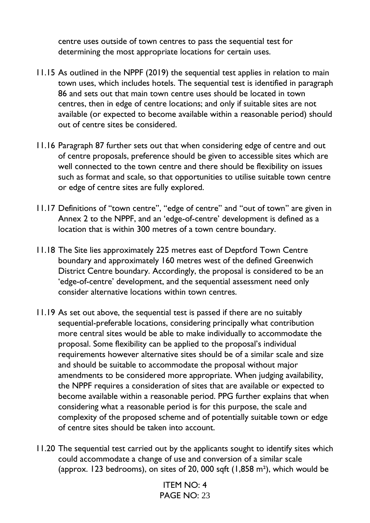centre uses outside of town centres to pass the sequential test for determining the most appropriate locations for certain uses.

- 11.15 As outlined in the NPPF (2019) the sequential test applies in relation to main town uses, which includes hotels. The sequential test is identified in paragraph 86 and sets out that main town centre uses should be located in town centres, then in edge of centre locations; and only if suitable sites are not available (or expected to become available within a reasonable period) should out of centre sites be considered.
- 11.16 Paragraph 87 further sets out that when considering edge of centre and out of centre proposals, preference should be given to accessible sites which are well connected to the town centre and there should be flexibility on issues such as format and scale, so that opportunities to utilise suitable town centre or edge of centre sites are fully explored.
- 11.17 Definitions of "town centre", "edge of centre" and "out of town" are given in Annex 2 to the NPPF, and an 'edge-of-centre' development is defined as a location that is within 300 metres of a town centre boundary.
- 11.18 The Site lies approximately 225 metres east of Deptford Town Centre boundary and approximately 160 metres west of the defined Greenwich District Centre boundary. Accordingly, the proposal is considered to be an 'edge-of-centre' development, and the sequential assessment need only consider alternative locations within town centres.
- 11.19 As set out above, the sequential test is passed if there are no suitably sequential-preferable locations, considering principally what contribution more central sites would be able to make individually to accommodate the proposal. Some flexibility can be applied to the proposal's individual requirements however alternative sites should be of a similar scale and size and should be suitable to accommodate the proposal without major amendments to be considered more appropriate. When judging availability, the NPPF requires a consideration of sites that are available or expected to become available within a reasonable period. PPG further explains that when considering what a reasonable period is for this purpose, the scale and complexity of the proposed scheme and of potentially suitable town or edge of centre sites should be taken into account.
- 11.20 The sequential test carried out by the applicants sought to identify sites which could accommodate a change of use and conversion of a similar scale (approx. 123 bedrooms), on sites of 20, 000 sqft (1,858 m²), which would be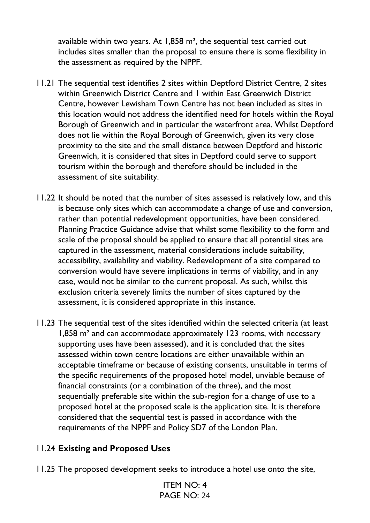available within two years. At 1,858 m², the sequential test carried out includes sites smaller than the proposal to ensure there is some flexibility in the assessment as required by the NPPF.

- 11.21 The sequential test identifies 2 sites within Deptford District Centre, 2 sites within Greenwich District Centre and 1 within East Greenwich District Centre, however Lewisham Town Centre has not been included as sites in this location would not address the identified need for hotels within the Royal Borough of Greenwich and in particular the waterfront area. Whilst Deptford does not lie within the Royal Borough of Greenwich, given its very close proximity to the site and the small distance between Deptford and historic Greenwich, it is considered that sites in Deptford could serve to support tourism within the borough and therefore should be included in the assessment of site suitability.
- 11.22 It should be noted that the number of sites assessed is relatively low, and this is because only sites which can accommodate a change of use and conversion, rather than potential redevelopment opportunities, have been considered. Planning Practice Guidance advise that whilst some flexibility to the form and scale of the proposal should be applied to ensure that all potential sites are captured in the assessment, material considerations include suitability, accessibility, availability and viability. Redevelopment of a site compared to conversion would have severe implications in terms of viability, and in any case, would not be similar to the current proposal. As such, whilst this exclusion criteria severely limits the number of sites captured by the assessment, it is considered appropriate in this instance.
- 11.23 The sequential test of the sites identified within the selected criteria (at least 1,858 m² and can accommodate approximately 123 rooms, with necessary supporting uses have been assessed), and it is concluded that the sites assessed within town centre locations are either unavailable within an acceptable timeframe or because of existing consents, unsuitable in terms of the specific requirements of the proposed hotel model, unviable because of financial constraints (or a combination of the three), and the most sequentially preferable site within the sub-region for a change of use to a proposed hotel at the proposed scale is the application site. It is therefore considered that the sequential test is passed in accordance with the requirements of the NPPF and Policy SD7 of the London Plan.

# 11.24 **Existing and Proposed Uses**

11.25 The proposed development seeks to introduce a hotel use onto the site,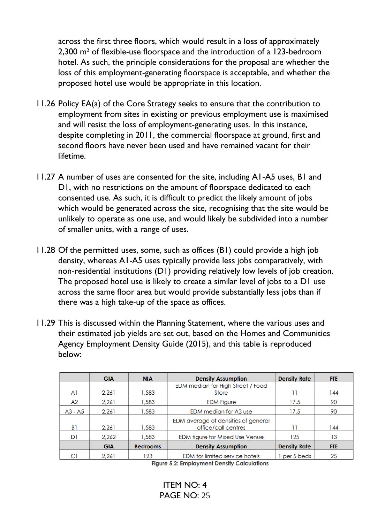across the first three floors, which would result in a loss of approximately 2,300 m² of flexible-use floorspace and the introduction of a 123-bedroom hotel. As such, the principle considerations for the proposal are whether the loss of this employment-generating floorspace is acceptable, and whether the proposed hotel use would be appropriate in this location.

- 11.26 Policy EA(a) of the Core Strategy seeks to ensure that the contribution to employment from sites in existing or previous employment use is maximised and will resist the loss of employment-generating uses. In this instance, despite completing in 2011, the commercial floorspace at ground, first and second floors have never been used and have remained vacant for their lifetime.
- 11.27 A number of uses are consented for the site, including A1-A5 uses, B1 and D1, with no restrictions on the amount of floorspace dedicated to each consented use. As such, it is difficult to predict the likely amount of jobs which would be generated across the site, recognising that the site would be unlikely to operate as one use, and would likely be subdivided into a number of smaller units, with a range of uses.
- 11.28 Of the permitted uses, some, such as offices (B1) could provide a high job density, whereas A1-A5 uses typically provide less jobs comparatively, with non-residential institutions (D1) providing relatively low levels of job creation. The proposed hotel use is likely to create a similar level of jobs to a D1 use across the same floor area but would provide substantially less jobs than if there was a high take-up of the space as offices.
- 11.29 This is discussed within the Planning Statement, where the various uses and their estimated job yields are set out, based on the Homes and Communities Agency Employment Density Guide (2015), and this table is reproduced below:

|           | <b>GIA</b> | <b>NIA</b>      | <b>Density Assumption</b>             | <b>Density Rate</b> | <b>FTE</b> |
|-----------|------------|-----------------|---------------------------------------|---------------------|------------|
|           |            |                 | EDM median for High Street / Food     |                     |            |
| Al        | 2.261      | 1,583           | Store                                 | 11                  | 144        |
| A2        | 2.261      | 1,583           | <b>EDM Figure</b>                     | 17.5                | 90         |
| $A3 - A5$ | 2,261      | 1,583           | EDM median for A3 use                 | 17.5                | 90         |
|           |            |                 | EDM average of densities of general   |                     |            |
| B1        | 2.261      | 1.583           | office/call centres                   |                     | 144        |
| D1        | 2,262      | 1,583           | EDM figure for Mixed Use Venue        | 125                 | 13         |
|           | <b>GIA</b> | <b>Bedrooms</b> | <b>Density Assumption</b>             | <b>Density Rate</b> | <b>FTE</b> |
|           | 2.261      | 123             | <b>EDM</b> for limited service hotels | per 5 beds          | 25         |

**Figure 5.2: Employment Density Calculations**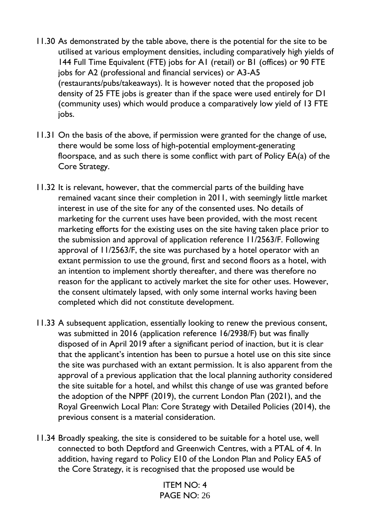- 11.30 As demonstrated by the table above, there is the potential for the site to be utilised at various employment densities, including comparatively high yields of 144 Full Time Equivalent (FTE) jobs for A1 (retail) or B1 (offices) or 90 FTE jobs for A2 (professional and financial services) or A3-A5 (restaurants/pubs/takeaways). It is however noted that the proposed job density of 25 FTE jobs is greater than if the space were used entirely for D1 (community uses) which would produce a comparatively low yield of 13 FTE iobs.
- 11.31 On the basis of the above, if permission were granted for the change of use, there would be some loss of high-potential employment-generating floorspace, and as such there is some conflict with part of Policy EA(a) of the Core Strategy.
- 11.32 It is relevant, however, that the commercial parts of the building have remained vacant since their completion in 2011, with seemingly little market interest in use of the site for any of the consented uses. No details of marketing for the current uses have been provided, with the most recent marketing efforts for the existing uses on the site having taken place prior to the submission and approval of application reference 11/2563/F. Following approval of 11/2563/F, the site was purchased by a hotel operator with an extant permission to use the ground, first and second floors as a hotel, with an intention to implement shortly thereafter, and there was therefore no reason for the applicant to actively market the site for other uses. However, the consent ultimately lapsed, with only some internal works having been completed which did not constitute development.
- 11.33 A subsequent application, essentially looking to renew the previous consent, was submitted in 2016 (application reference 16/2938/F) but was finally disposed of in April 2019 after a significant period of inaction, but it is clear that the applicant's intention has been to pursue a hotel use on this site since the site was purchased with an extant permission. It is also apparent from the approval of a previous application that the local planning authority considered the site suitable for a hotel, and whilst this change of use was granted before the adoption of the NPPF (2019), the current London Plan (2021), and the Royal Greenwich Local Plan: Core Strategy with Detailed Policies (2014), the previous consent is a material consideration.
- 11.34 Broadly speaking, the site is considered to be suitable for a hotel use, well connected to both Deptford and Greenwich Centres, with a PTAL of 4. In addition, having regard to Policy E10 of the London Plan and Policy EA5 of the Core Strategy, it is recognised that the proposed use would be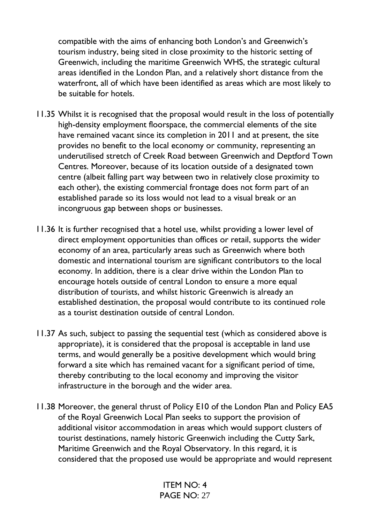compatible with the aims of enhancing both London's and Greenwich's tourism industry, being sited in close proximity to the historic setting of Greenwich, including the maritime Greenwich WHS, the strategic cultural areas identified in the London Plan, and a relatively short distance from the waterfront, all of which have been identified as areas which are most likely to be suitable for hotels.

- 11.35 Whilst it is recognised that the proposal would result in the loss of potentially high-density employment floorspace, the commercial elements of the site have remained vacant since its completion in 2011 and at present, the site provides no benefit to the local economy or community, representing an underutilised stretch of Creek Road between Greenwich and Deptford Town Centres. Moreover, because of its location outside of a designated town centre (albeit falling part way between two in relatively close proximity to each other), the existing commercial frontage does not form part of an established parade so its loss would not lead to a visual break or an incongruous gap between shops or businesses.
- 11.36 It is further recognised that a hotel use, whilst providing a lower level of direct employment opportunities than offices or retail, supports the wider economy of an area, particularly areas such as Greenwich where both domestic and international tourism are significant contributors to the local economy. In addition, there is a clear drive within the London Plan to encourage hotels outside of central London to ensure a more equal distribution of tourists, and whilst historic Greenwich is already an established destination, the proposal would contribute to its continued role as a tourist destination outside of central London.
- 11.37 As such, subject to passing the sequential test (which as considered above is appropriate), it is considered that the proposal is acceptable in land use terms, and would generally be a positive development which would bring forward a site which has remained vacant for a significant period of time, thereby contributing to the local economy and improving the visitor infrastructure in the borough and the wider area.
- 11.38 Moreover, the general thrust of Policy E10 of the London Plan and Policy EA5 of the Royal Greenwich Local Plan seeks to support the provision of additional visitor accommodation in areas which would support clusters of tourist destinations, namely historic Greenwich including the Cutty Sark, Maritime Greenwich and the Royal Observatory. In this regard, it is considered that the proposed use would be appropriate and would represent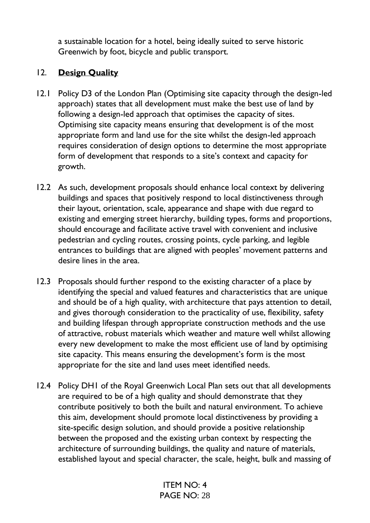a sustainable location for a hotel, being ideally suited to serve historic Greenwich by foot, bicycle and public transport.

# 12. **Design Quality**

- 12.1 Policy D3 of the London Plan (Optimising site capacity through the design-led approach) states that all development must make the best use of land by following a design-led approach that optimises the capacity of sites. Optimising site capacity means ensuring that development is of the most appropriate form and land use for the site whilst the design-led approach requires consideration of design options to determine the most appropriate form of development that responds to a site's context and capacity for growth.
- 12.2 As such, development proposals should enhance local context by delivering buildings and spaces that positively respond to local distinctiveness through their layout, orientation, scale, appearance and shape with due regard to existing and emerging street hierarchy, building types, forms and proportions, should encourage and facilitate active travel with convenient and inclusive pedestrian and cycling routes, crossing points, cycle parking, and legible entrances to buildings that are aligned with peoples' movement patterns and desire lines in the area.
- 12.3 Proposals should further respond to the existing character of a place by identifying the special and valued features and characteristics that are unique and should be of a high quality, with architecture that pays attention to detail, and gives thorough consideration to the practicality of use, flexibility, safety and building lifespan through appropriate construction methods and the use of attractive, robust materials which weather and mature well whilst allowing every new development to make the most efficient use of land by optimising site capacity. This means ensuring the development's form is the most appropriate for the site and land uses meet identified needs.
- 12.4 Policy DH1 of the Royal Greenwich Local Plan sets out that all developments are required to be of a high quality and should demonstrate that they contribute positively to both the built and natural environment. To achieve this aim, development should promote local distinctiveness by providing a site-specific design solution, and should provide a positive relationship between the proposed and the existing urban context by respecting the architecture of surrounding buildings, the quality and nature of materials, established layout and special character, the scale, height, bulk and massing of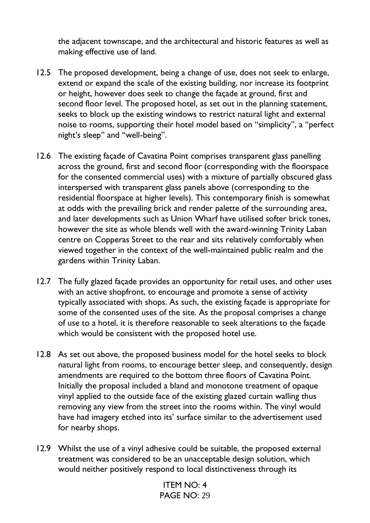the adjacent townscape, and the architectural and historic features as well as making effective use of land.

- 12.5 The proposed development, being a change of use, does not seek to enlarge, extend or expand the scale of the existing building, nor increase its footprint or height, however does seek to change the façade at ground, first and second floor level. The proposed hotel, as set out in the planning statement, seeks to block up the existing windows to restrict natural light and external noise to rooms, supporting their hotel model based on "simplicity", a "perfect night's sleep" and "well-being".
- 12.6 The existing façade of Cavatina Point comprises transparent glass panelling across the ground, first and second floor (corresponding with the floorspace for the consented commercial uses) with a mixture of partially obscured glass interspersed with transparent glass panels above (corresponding to the residential floorspace at higher levels). This contemporary finish is somewhat at odds with the prevailing brick and render palette of the surrounding area, and later developments such as Union Wharf have utilised softer brick tones, however the site as whole blends well with the award-winning Trinity Laban centre on Copperas Street to the rear and sits relatively comfortably when viewed together in the context of the well-maintained public realm and the gardens within Trinity Laban.
- 12.7 The fully glazed façade provides an opportunity for retail uses, and other uses with an active shopfront, to encourage and promote a sense of activity typically associated with shops. As such, the existing façade is appropriate for some of the consented uses of the site. As the proposal comprises a change of use to a hotel, it is therefore reasonable to seek alterations to the façade which would be consistent with the proposed hotel use.
- 12.8 As set out above, the proposed business model for the hotel seeks to block natural light from rooms, to encourage better sleep, and consequently, design amendments are required to the bottom three floors of Cavatina Point. Initially the proposal included a bland and monotone treatment of opaque vinyl applied to the outside face of the existing glazed curtain walling thus removing any view from the street into the rooms within. The vinyl would have had imagery etched into its' surface similar to the advertisement used for nearby shops.
- 12.9 Whilst the use of a vinyl adhesive could be suitable, the proposed external treatment was considered to be an unacceptable design solution, which would neither positively respond to local distinctiveness through its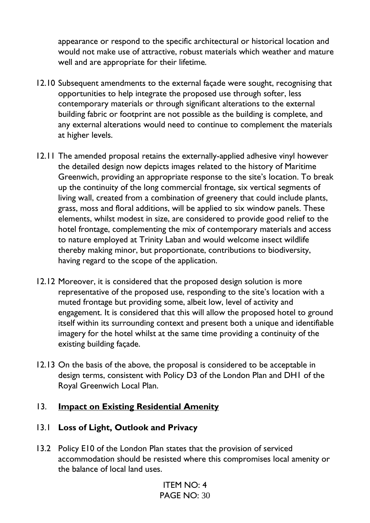appearance or respond to the specific architectural or historical location and would not make use of attractive, robust materials which weather and mature well and are appropriate for their lifetime.

- 12.10 Subsequent amendments to the external façade were sought, recognising that opportunities to help integrate the proposed use through softer, less contemporary materials or through significant alterations to the external building fabric or footprint are not possible as the building is complete, and any external alterations would need to continue to complement the materials at higher levels.
- 12.11 The amended proposal retains the externally-applied adhesive vinyl however the detailed design now depicts images related to the history of Maritime Greenwich, providing an appropriate response to the site's location. To break up the continuity of the long commercial frontage, six vertical segments of living wall, created from a combination of greenery that could include plants, grass, moss and floral additions, will be applied to six window panels. These elements, whilst modest in size, are considered to provide good relief to the hotel frontage, complementing the mix of contemporary materials and access to nature employed at Trinity Laban and would welcome insect wildlife thereby making minor, but proportionate, contributions to biodiversity, having regard to the scope of the application.
- 12.12 Moreover, it is considered that the proposed design solution is more representative of the proposed use, responding to the site's location with a muted frontage but providing some, albeit low, level of activity and engagement. It is considered that this will allow the proposed hotel to ground itself within its surrounding context and present both a unique and identifiable imagery for the hotel whilst at the same time providing a continuity of the existing building façade.
- 12.13 On the basis of the above, the proposal is considered to be acceptable in design terms, consistent with Policy D3 of the London Plan and DH1 of the Royal Greenwich Local Plan.

# 13. **Impact on Existing Residential Amenity**

# 13.1 **Loss of Light, Outlook and Privacy**

13.2 Policy E10 of the London Plan states that the provision of serviced accommodation should be resisted where this compromises local amenity or the balance of local land uses.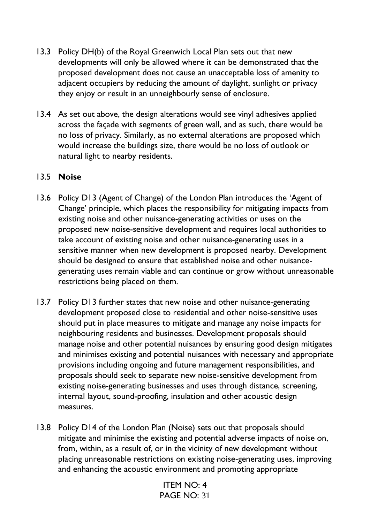- 13.3 Policy DH(b) of the Royal Greenwich Local Plan sets out that new developments will only be allowed where it can be demonstrated that the proposed development does not cause an unacceptable loss of amenity to adjacent occupiers by reducing the amount of daylight, sunlight or privacy they enjoy or result in an unneighbourly sense of enclosure.
- 13.4 As set out above, the design alterations would see vinyl adhesives applied across the façade with segments of green wall, and as such, there would be no loss of privacy. Similarly, as no external alterations are proposed which would increase the buildings size, there would be no loss of outlook or natural light to nearby residents.

# 13.5 **Noise**

- 13.6 Policy D13 (Agent of Change) of the London Plan introduces the 'Agent of Change' principle, which places the responsibility for mitigating impacts from existing noise and other nuisance-generating activities or uses on the proposed new noise-sensitive development and requires local authorities to take account of existing noise and other nuisance-generating uses in a sensitive manner when new development is proposed nearby. Development should be designed to ensure that established noise and other nuisancegenerating uses remain viable and can continue or grow without unreasonable restrictions being placed on them.
- 13.7 Policy D13 further states that new noise and other nuisance-generating development proposed close to residential and other noise-sensitive uses should put in place measures to mitigate and manage any noise impacts for neighbouring residents and businesses. Development proposals should manage noise and other potential nuisances by ensuring good design mitigates and minimises existing and potential nuisances with necessary and appropriate provisions including ongoing and future management responsibilities, and proposals should seek to separate new noise-sensitive development from existing noise-generating businesses and uses through distance, screening, internal layout, sound-proofing, insulation and other acoustic design measures.
- 13.8 Policy D14 of the London Plan (Noise) sets out that proposals should mitigate and minimise the existing and potential adverse impacts of noise on, from, within, as a result of, or in the vicinity of new development without placing unreasonable restrictions on existing noise-generating uses, improving and enhancing the acoustic environment and promoting appropriate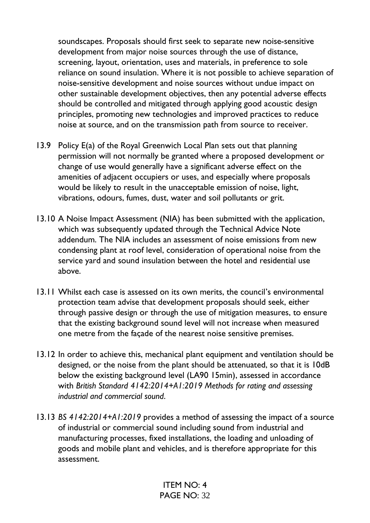soundscapes. Proposals should first seek to separate new noise-sensitive development from major noise sources through the use of distance, screening, layout, orientation, uses and materials, in preference to sole reliance on sound insulation. Where it is not possible to achieve separation of noise-sensitive development and noise sources without undue impact on other sustainable development objectives, then any potential adverse effects should be controlled and mitigated through applying good acoustic design principles, promoting new technologies and improved practices to reduce noise at source, and on the transmission path from source to receiver.

- 13.9 Policy E(a) of the Royal Greenwich Local Plan sets out that planning permission will not normally be granted where a proposed development or change of use would generally have a significant adverse effect on the amenities of adjacent occupiers or uses, and especially where proposals would be likely to result in the unacceptable emission of noise, light, vibrations, odours, fumes, dust, water and soil pollutants or grit.
- 13.10 A Noise Impact Assessment (NIA) has been submitted with the application, which was subsequently updated through the Technical Advice Note addendum. The NIA includes an assessment of noise emissions from new condensing plant at roof level, consideration of operational noise from the service yard and sound insulation between the hotel and residential use above.
- 13.11 Whilst each case is assessed on its own merits, the council's environmental protection team advise that development proposals should seek, either through passive design or through the use of mitigation measures, to ensure that the existing background sound level will not increase when measured one metre from the façade of the nearest noise sensitive premises.
- 13.12 In order to achieve this, mechanical plant equipment and ventilation should be designed, or the noise from the plant should be attenuated, so that it is 10dB below the existing background level (LA90 15min), assessed in accordance with *British Standard 4142:2014+A1:2019 Methods for rating and assessing industrial and commercial sound*.
- 13.13 *BS 4142:2014+A1:2019* provides a method of assessing the impact of a source of industrial or commercial sound including sound from industrial and manufacturing processes, fixed installations, the loading and unloading of goods and mobile plant and vehicles, and is therefore appropriate for this assessment.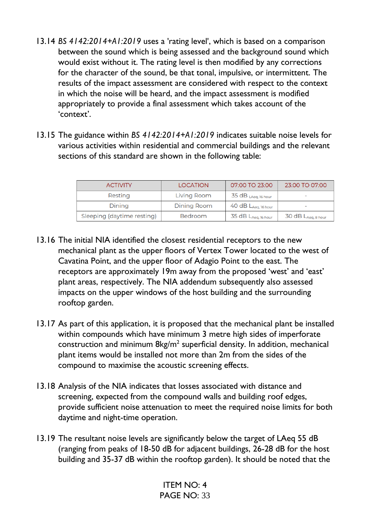- 13.14 *BS 4142:2014+A1:2019* uses a 'rating level', which is based on a comparison between the sound which is being assessed and the background sound which would exist without it. The rating level is then modified by any corrections for the character of the sound, be that tonal, impulsive, or intermittent. The results of the impact assessment are considered with respect to the context in which the noise will be heard, and the impact assessment is modified appropriately to provide a final assessment which takes account of the 'context'.
- 13.15 The guidance within *BS 4142:2014+A1:2019* indicates suitable noise levels for various activities within residential and commercial buildings and the relevant sections of this standard are shown in the following table:

| <b>ACTIVITY</b>            | <b>LOCATION</b> | 07:00 TO 23:00             | 23:00 TO 07:00               |
|----------------------------|-----------------|----------------------------|------------------------------|
| Resting                    | Living Room     | $35 dB$ LAeq, 16 hour      | $\qquad \qquad \blacksquare$ |
| Dining                     | Dining Room     | $40 dB L_{Aeq, 16 hour}$   | $\qquad \qquad \blacksquare$ |
| Sleeping (daytime resting) | Bedroom         | $35$ dB $L_{Aeq, 16 hour}$ | $30 dB L_{Aeq, 8 hour}$      |

- 13.16 The initial NIA identified the closest residential receptors to the new mechanical plant as the upper floors of Vertex Tower located to the west of Cavatina Point, and the upper floor of Adagio Point to the east. The receptors are approximately 19m away from the proposed 'west' and 'east' plant areas, respectively. The NIA addendum subsequently also assessed impacts on the upper windows of the host building and the surrounding rooftop garden.
- 13.17 As part of this application, it is proposed that the mechanical plant be installed within compounds which have minimum 3 metre high sides of imperforate construction and minimum  $\frac{8}{\text{kg/m}^2}$  superficial density. In addition, mechanical plant items would be installed not more than 2m from the sides of the compound to maximise the acoustic screening effects.
- 13.18 Analysis of the NIA indicates that losses associated with distance and screening, expected from the compound walls and building roof edges, provide sufficient noise attenuation to meet the required noise limits for both daytime and night-time operation.
- 13.19 The resultant noise levels are significantly below the target of LAeq 55 dB (ranging from peaks of 18-50 dB for adjacent buildings, 26-28 dB for the host building and 35-37 dB within the rooftop garden). It should be noted that the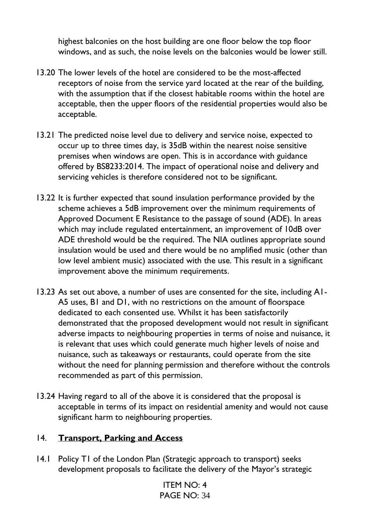highest balconies on the host building are one floor below the top floor windows, and as such, the noise levels on the balconies would be lower still.

- 13.20 The lower levels of the hotel are considered to be the most-affected receptors of noise from the service yard located at the rear of the building, with the assumption that if the closest habitable rooms within the hotel are acceptable, then the upper floors of the residential properties would also be acceptable.
- 13.21 The predicted noise level due to delivery and service noise, expected to occur up to three times day, is 35dB within the nearest noise sensitive premises when windows are open. This is in accordance with guidance offered by BS8233:2014. The impact of operational noise and delivery and servicing vehicles is therefore considered not to be significant.
- 13.22 It is further expected that sound insulation performance provided by the scheme achieves a 5dB improvement over the minimum requirements of Approved Document E Resistance to the passage of sound (ADE). In areas which may include regulated entertainment, an improvement of 10dB over ADE threshold would be the required. The NIA outlines appropriate sound insulation would be used and there would be no amplified music (other than low level ambient music) associated with the use. This result in a significant improvement above the minimum requirements.
- 13.23 As set out above, a number of uses are consented for the site, including A1- A5 uses, B1 and D1, with no restrictions on the amount of floorspace dedicated to each consented use. Whilst it has been satisfactorily demonstrated that the proposed development would not result in significant adverse impacts to neighbouring properties in terms of noise and nuisance, it is relevant that uses which could generate much higher levels of noise and nuisance, such as takeaways or restaurants, could operate from the site without the need for planning permission and therefore without the controls recommended as part of this permission.
- 13.24 Having regard to all of the above it is considered that the proposal is acceptable in terms of its impact on residential amenity and would not cause significant harm to neighbouring properties.

# 14. **Transport, Parking and Access**

14.1 Policy T1 of the London Plan (Strategic approach to transport) seeks development proposals to facilitate the delivery of the Mayor's strategic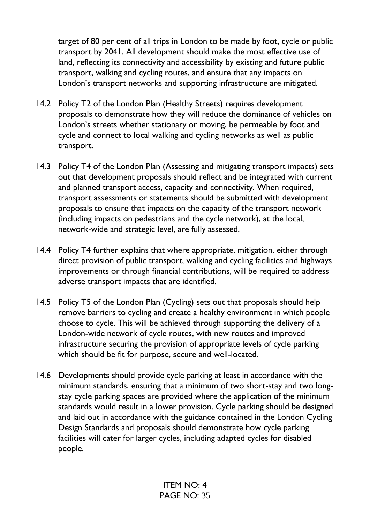target of 80 per cent of all trips in London to be made by foot, cycle or public transport by 2041. All development should make the most effective use of land, reflecting its connectivity and accessibility by existing and future public transport, walking and cycling routes, and ensure that any impacts on London's transport networks and supporting infrastructure are mitigated.

- 14.2 Policy T2 of the London Plan (Healthy Streets) requires development proposals to demonstrate how they will reduce the dominance of vehicles on London's streets whether stationary or moving, be permeable by foot and cycle and connect to local walking and cycling networks as well as public transport.
- 14.3 Policy T4 of the London Plan (Assessing and mitigating transport impacts) sets out that development proposals should reflect and be integrated with current and planned transport access, capacity and connectivity. When required, transport assessments or statements should be submitted with development proposals to ensure that impacts on the capacity of the transport network (including impacts on pedestrians and the cycle network), at the local, network-wide and strategic level, are fully assessed.
- 14.4 Policy T4 further explains that where appropriate, mitigation, either through direct provision of public transport, walking and cycling facilities and highways improvements or through financial contributions, will be required to address adverse transport impacts that are identified.
- 14.5 Policy T5 of the London Plan (Cycling) sets out that proposals should help remove barriers to cycling and create a healthy environment in which people choose to cycle. This will be achieved through supporting the delivery of a London-wide network of cycle routes, with new routes and improved infrastructure securing the provision of appropriate levels of cycle parking which should be fit for purpose, secure and well-located.
- 14.6 Developments should provide cycle parking at least in accordance with the minimum standards, ensuring that a minimum of two short-stay and two longstay cycle parking spaces are provided where the application of the minimum standards would result in a lower provision. Cycle parking should be designed and laid out in accordance with the guidance contained in the London Cycling Design Standards and proposals should demonstrate how cycle parking facilities will cater for larger cycles, including adapted cycles for disabled people.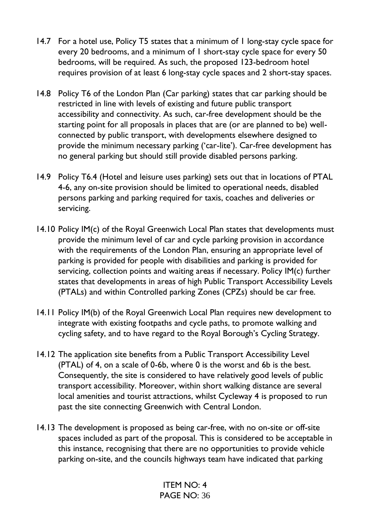- 14.7 For a hotel use, Policy T5 states that a minimum of 1 long-stay cycle space for every 20 bedrooms, and a minimum of 1 short-stay cycle space for every 50 bedrooms, will be required. As such, the proposed 123-bedroom hotel requires provision of at least 6 long-stay cycle spaces and 2 short-stay spaces.
- 14.8 Policy T6 of the London Plan (Car parking) states that car parking should be restricted in line with levels of existing and future public transport accessibility and connectivity. As such, car-free development should be the starting point for all proposals in places that are (or are planned to be) wellconnected by public transport, with developments elsewhere designed to provide the minimum necessary parking ('car-lite'). Car-free development has no general parking but should still provide disabled persons parking.
- 14.9 Policy T6.4 (Hotel and leisure uses parking) sets out that in locations of PTAL 4-6, any on-site provision should be limited to operational needs, disabled persons parking and parking required for taxis, coaches and deliveries or servicing.
- 14.10 Policy IM(c) of the Royal Greenwich Local Plan states that developments must provide the minimum level of car and cycle parking provision in accordance with the requirements of the London Plan, ensuring an appropriate level of parking is provided for people with disabilities and parking is provided for servicing, collection points and waiting areas if necessary. Policy IM(c) further states that developments in areas of high Public Transport Accessibility Levels (PTALs) and within Controlled parking Zones (CPZs) should be car free.
- 14.11 Policy IM(b) of the Royal Greenwich Local Plan requires new development to integrate with existing footpaths and cycle paths, to promote walking and cycling safety, and to have regard to the Royal Borough's Cycling Strategy.
- 14.12 The application site benefits from a Public Transport Accessibility Level (PTAL) of 4, on a scale of 0-6b, where 0 is the worst and 6b is the best. Consequently, the site is considered to have relatively good levels of public transport accessibility. Moreover, within short walking distance are several local amenities and tourist attractions, whilst Cycleway 4 is proposed to run past the site connecting Greenwich with Central London.
- 14.13 The development is proposed as being car-free, with no on-site or off-site spaces included as part of the proposal. This is considered to be acceptable in this instance, recognising that there are no opportunities to provide vehicle parking on-site, and the councils highways team have indicated that parking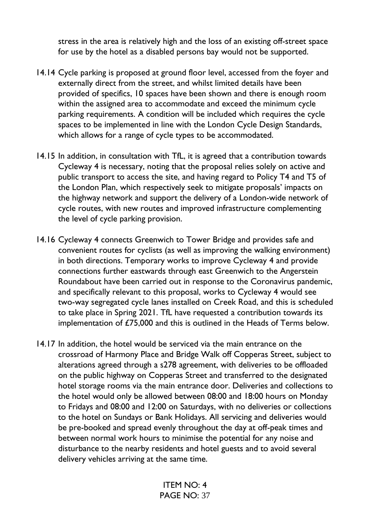stress in the area is relatively high and the loss of an existing off-street space for use by the hotel as a disabled persons bay would not be supported.

- 14.14 Cycle parking is proposed at ground floor level, accessed from the foyer and externally direct from the street, and whilst limited details have been provided of specifics, 10 spaces have been shown and there is enough room within the assigned area to accommodate and exceed the minimum cycle parking requirements. A condition will be included which requires the cycle spaces to be implemented in line with the London Cycle Design Standards, which allows for a range of cycle types to be accommodated.
- 14.15 In addition, in consultation with TfL, it is agreed that a contribution towards Cycleway 4 is necessary, noting that the proposal relies solely on active and public transport to access the site, and having regard to Policy T4 and T5 of the London Plan, which respectively seek to mitigate proposals' impacts on the highway network and support the delivery of a London-wide network of cycle routes, with new routes and improved infrastructure complementing the level of cycle parking provision.
- 14.16 Cycleway 4 connects Greenwich to Tower Bridge and provides safe and convenient routes for cyclists (as well as improving the walking environment) in both directions. Temporary works to improve Cycleway 4 and provide connections further eastwards through east Greenwich to the Angerstein Roundabout have been carried out in response to the Coronavirus pandemic, and specifically relevant to this proposal, works to Cycleway 4 would see two-way segregated cycle lanes installed on Creek Road, and this is scheduled to take place in Spring 2021. TfL have requested a contribution towards its implementation of £75,000 and this is outlined in the Heads of Terms below.
- 14.17 In addition, the hotel would be serviced via the main entrance on the crossroad of Harmony Place and Bridge Walk off Copperas Street, subject to alterations agreed through a s278 agreement, with deliveries to be offloaded on the public highway on Copperas Street and transferred to the designated hotel storage rooms via the main entrance door. Deliveries and collections to the hotel would only be allowed between 08:00 and 18:00 hours on Monday to Fridays and 08:00 and 12:00 on Saturdays, with no deliveries or collections to the hotel on Sundays or Bank Holidays. All servicing and deliveries would be pre-booked and spread evenly throughout the day at off-peak times and between normal work hours to minimise the potential for any noise and disturbance to the nearby residents and hotel guests and to avoid several delivery vehicles arriving at the same time.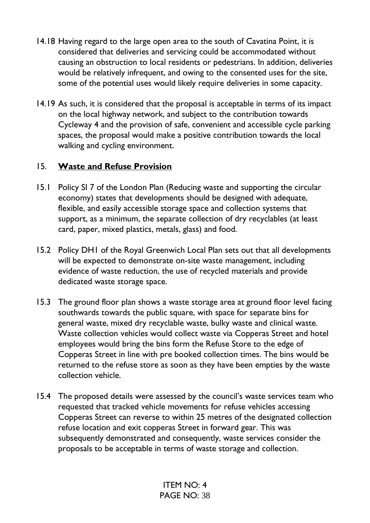- 14.18 Having regard to the large open area to the south of Cavatina Point, it is considered that deliveries and servicing could be accommodated without causing an obstruction to local residents or pedestrians. In addition, deliveries would be relatively infrequent, and owing to the consented uses for the site, some of the potential uses would likely require deliveries in some capacity.
- 14.19 As such, it is considered that the proposal is acceptable in terms of its impact on the local highway network, and subject to the contribution towards Cycleway 4 and the provision of safe, convenient and accessible cycle parking spaces, the proposal would make a positive contribution towards the local walking and cycling environment.

# 15. **Waste and Refuse Provision**

- 15.1 Policy SI 7 of the London Plan (Reducing waste and supporting the circular economy) states that developments should be designed with adequate, flexible, and easily accessible storage space and collection systems that support, as a minimum, the separate collection of dry recyclables (at least card, paper, mixed plastics, metals, glass) and food.
- 15.2 Policy DH1 of the Royal Greenwich Local Plan sets out that all developments will be expected to demonstrate on-site waste management, including evidence of waste reduction, the use of recycled materials and provide dedicated waste storage space.
- 15.3 The ground floor plan shows a waste storage area at ground floor level facing southwards towards the public square, with space for separate bins for general waste, mixed dry recyclable waste, bulky waste and clinical waste. Waste collection vehicles would collect waste via Copperas Street and hotel employees would bring the bins form the Refuse Store to the edge of Copperas Street in line with pre booked collection times. The bins would be returned to the refuse store as soon as they have been empties by the waste collection vehicle.
- 15.4 The proposed details were assessed by the council's waste services team who requested that tracked vehicle movements for refuse vehicles accessing Copperas Street can reverse to within 25 metres of the designated collection refuse location and exit copperas Street in forward gear. This was subsequently demonstrated and consequently, waste services consider the proposals to be acceptable in terms of waste storage and collection.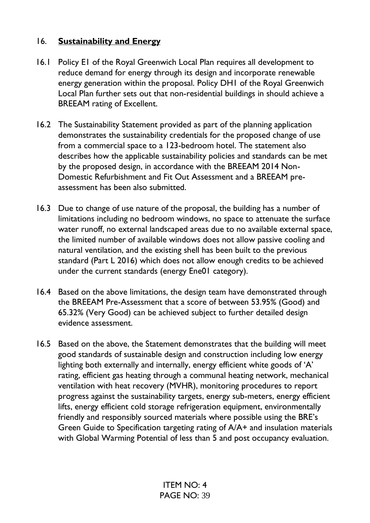# 16. **Sustainability and Energy**

- 16.1 Policy E1 of the Royal Greenwich Local Plan requires all development to reduce demand for energy through its design and incorporate renewable energy generation within the proposal. Policy DH1 of the Royal Greenwich Local Plan further sets out that non-residential buildings in should achieve a BREEAM rating of Excellent.
- 16.2 The Sustainability Statement provided as part of the planning application demonstrates the sustainability credentials for the proposed change of use from a commercial space to a 123-bedroom hotel. The statement also describes how the applicable sustainability policies and standards can be met by the proposed design, in accordance with the BREEAM 2014 Non-Domestic Refurbishment and Fit Out Assessment and a BREEAM preassessment has been also submitted.
- 16.3 Due to change of use nature of the proposal, the building has a number of limitations including no bedroom windows, no space to attenuate the surface water runoff, no external landscaped areas due to no available external space, the limited number of available windows does not allow passive cooling and natural ventilation, and the existing shell has been built to the previous standard (Part L 2016) which does not allow enough credits to be achieved under the current standards (energy Ene01 category).
- 16.4 Based on the above limitations, the design team have demonstrated through the BREEAM Pre-Assessment that a score of between 53.95% (Good) and 65.32% (Very Good) can be achieved subject to further detailed design evidence assessment.
- 16.5 Based on the above, the Statement demonstrates that the building will meet good standards of sustainable design and construction including low energy lighting both externally and internally, energy efficient white goods of 'A' rating, efficient gas heating through a communal heating network, mechanical ventilation with heat recovery (MVHR), monitoring procedures to report progress against the sustainability targets, energy sub-meters, energy efficient lifts, energy efficient cold storage refrigeration equipment, environmentally friendly and responsibly sourced materials where possible using the BRE's Green Guide to Specification targeting rating of A/A+ and insulation materials with Global Warming Potential of less than 5 and post occupancy evaluation.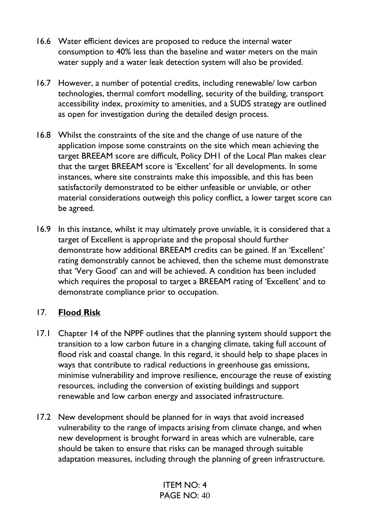- 16.6 Water efficient devices are proposed to reduce the internal water consumption to 40% less than the baseline and water meters on the main water supply and a water leak detection system will also be provided.
- 16.7 However, a number of potential credits, including renewable/ low carbon technologies, thermal comfort modelling, security of the building, transport accessibility index, proximity to amenities, and a SUDS strategy are outlined as open for investigation during the detailed design process.
- 16.8 Whilst the constraints of the site and the change of use nature of the application impose some constraints on the site which mean achieving the target BREEAM score are difficult, Policy DH1 of the Local Plan makes clear that the target BREEAM score is 'Excellent' for all developments. In some instances, where site constraints make this impossible, and this has been satisfactorily demonstrated to be either unfeasible or unviable, or other material considerations outweigh this policy conflict, a lower target score can be agreed.
- 16.9 In this instance, whilst it may ultimately prove unviable, it is considered that a target of Excellent is appropriate and the proposal should further demonstrate how additional BREEAM credits can be gained. If an 'Excellent' rating demonstrably cannot be achieved, then the scheme must demonstrate that 'Very Good' can and will be achieved. A condition has been included which requires the proposal to target a BREEAM rating of 'Excellent' and to demonstrate compliance prior to occupation.

# 17. **Flood Risk**

- 17.1 Chapter 14 of the NPPF outlines that the planning system should support the transition to a low carbon future in a changing climate, taking full account of flood risk and coastal change. In this regard, it should help to shape places in ways that contribute to radical reductions in greenhouse gas emissions, minimise vulnerability and improve resilience, encourage the reuse of existing resources, including the conversion of existing buildings and support renewable and low carbon energy and associated infrastructure.
- 17.2 New development should be planned for in ways that avoid increased vulnerability to the range of impacts arising from climate change, and when new development is brought forward in areas which are vulnerable, care should be taken to ensure that risks can be managed through suitable adaptation measures, including through the planning of green infrastructure.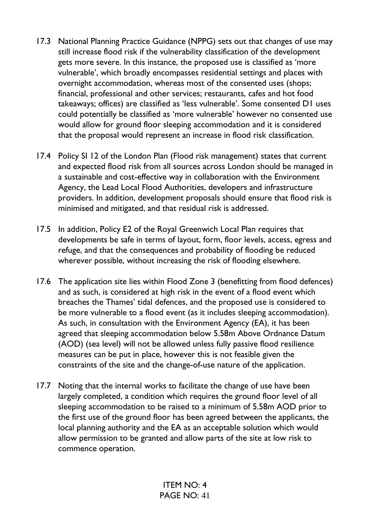- 17.3 National Planning Practice Guidance (NPPG) sets out that changes of use may still increase flood risk if the vulnerability classification of the development gets more severe. In this instance, the proposed use is classified as 'more vulnerable', which broadly encompasses residential settings and places with overnight accommodation, whereas most of the consented uses (shops; financial, professional and other services; restaurants, cafes and hot food takeaways; offices) are classified as 'less vulnerable'. Some consented D1 uses could potentially be classified as 'more vulnerable' however no consented use would allow for ground floor sleeping accommodation and it is considered that the proposal would represent an increase in flood risk classification.
- 17.4 Policy SI 12 of the London Plan (Flood risk management) states that current and expected flood risk from all sources across London should be managed in a sustainable and cost-effective way in collaboration with the Environment Agency, the Lead Local Flood Authorities, developers and infrastructure providers. In addition, development proposals should ensure that flood risk is minimised and mitigated, and that residual risk is addressed.
- 17.5 In addition, Policy E2 of the Royal Greenwich Local Plan requires that developments be safe in terms of layout, form, floor levels, access, egress and refuge, and that the consequences and probability of flooding be reduced wherever possible, without increasing the risk of flooding elsewhere.
- 17.6 The application site lies within Flood Zone 3 (benefitting from flood defences) and as such, is considered at high risk in the event of a flood event which breaches the Thames' tidal defences, and the proposed use is considered to be more vulnerable to a flood event (as it includes sleeping accommodation). As such, in consultation with the Environment Agency (EA), it has been agreed that sleeping accommodation below 5.58m Above Ordnance Datum (AOD) (sea level) will not be allowed unless fully passive flood resilience measures can be put in place, however this is not feasible given the constraints of the site and the change-of-use nature of the application.
- 17.7 Noting that the internal works to facilitate the change of use have been largely completed, a condition which requires the ground floor level of all sleeping accommodation to be raised to a minimum of 5.58m AOD prior to the first use of the ground floor has been agreed between the applicants, the local planning authority and the EA as an acceptable solution which would allow permission to be granted and allow parts of the site at low risk to commence operation.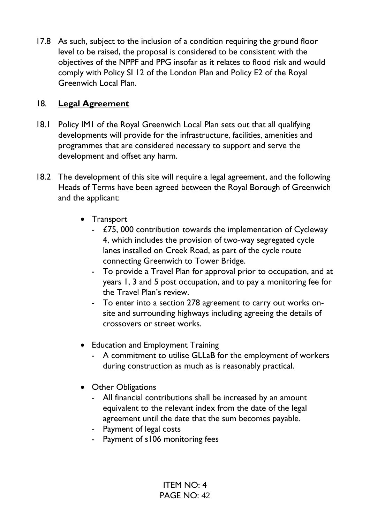17.8 As such, subject to the inclusion of a condition requiring the ground floor level to be raised, the proposal is considered to be consistent with the objectives of the NPPF and PPG insofar as it relates to flood risk and would comply with Policy SI 12 of the London Plan and Policy E2 of the Royal Greenwich Local Plan.

# 18. **Legal Agreement**

- 18.1 Policy IM1 of the Royal Greenwich Local Plan sets out that all qualifying developments will provide for the infrastructure, facilities, amenities and programmes that are considered necessary to support and serve the development and offset any harm.
- 18.2 The development of this site will require a legal agreement, and the following Heads of Terms have been agreed between the Royal Borough of Greenwich and the applicant:
	- Transport
		- £75, 000 contribution towards the implementation of Cycleway 4, which includes the provision of two-way segregated cycle lanes installed on Creek Road, as part of the cycle route connecting Greenwich to Tower Bridge.
		- To provide a Travel Plan for approval prior to occupation, and at years 1, 3 and 5 post occupation, and to pay a monitoring fee for the Travel Plan's review.
		- To enter into a section 278 agreement to carry out works onsite and surrounding highways including agreeing the details of crossovers or street works.
	- Education and Employment Training
		- A commitment to utilise GLLaB for the employment of workers during construction as much as is reasonably practical.
	- Other Obligations
		- All financial contributions shall be increased by an amount equivalent to the relevant index from the date of the legal agreement until the date that the sum becomes payable.
		- Payment of legal costs
		- Payment of s106 monitoring fees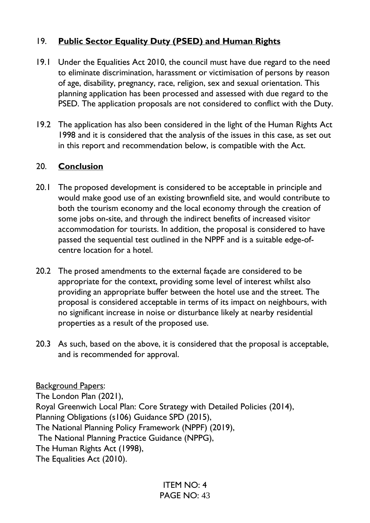# 19. **Public Sector Equality Duty (PSED) and Human Rights**

- 19.1 Under the Equalities Act 2010, the council must have due regard to the need to eliminate discrimination, harassment or victimisation of persons by reason of age, disability, pregnancy, race, religion, sex and sexual orientation. This planning application has been processed and assessed with due regard to the PSED. The application proposals are not considered to conflict with the Duty.
- 19.2 The application has also been considered in the light of the Human Rights Act 1998 and it is considered that the analysis of the issues in this case, as set out in this report and recommendation below, is compatible with the Act.

# 20. **Conclusion**

- 20.1 The proposed development is considered to be acceptable in principle and would make good use of an existing brownfield site, and would contribute to both the tourism economy and the local economy through the creation of some jobs on-site, and through the indirect benefits of increased visitor accommodation for tourists. In addition, the proposal is considered to have passed the sequential test outlined in the NPPF and is a suitable edge-ofcentre location for a hotel.
- 20.2 The prosed amendments to the external façade are considered to be appropriate for the context, providing some level of interest whilst also providing an appropriate buffer between the hotel use and the street. The proposal is considered acceptable in terms of its impact on neighbours, with no significant increase in noise or disturbance likely at nearby residential properties as a result of the proposed use.
- 20.3 As such, based on the above, it is considered that the proposal is acceptable, and is recommended for approval.

**Background Papers:** The London Plan (2021), Royal Greenwich Local Plan: Core Strategy with Detailed Policies (2014), Planning Obligations (s106) Guidance SPD (2015), The National Planning Policy Framework (NPPF) (2019), The National Planning Practice Guidance (NPPG), The Human Rights Act (1998), The Equalities Act (2010).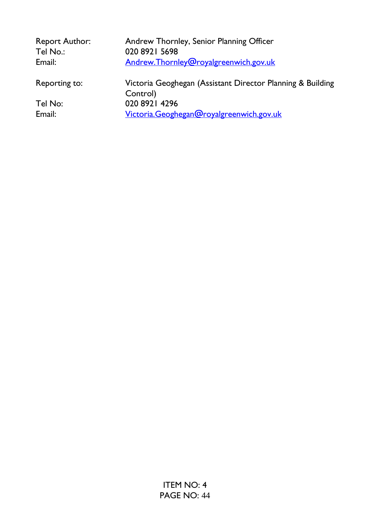| <b>Report Author:</b><br>Tel No.: | Andrew Thornley, Senior Planning Officer<br>020 8921 5698              |
|-----------------------------------|------------------------------------------------------------------------|
| Email:                            | Andrew.Thornley@royalgreenwich.gov.uk                                  |
| Reporting to:                     | Victoria Geoghegan (Assistant Director Planning & Building<br>Control) |
| Tel No:                           | 020 8921 4296                                                          |
| Email:                            | Victoria.Geoghegan@royalgreenwich.gov.uk                               |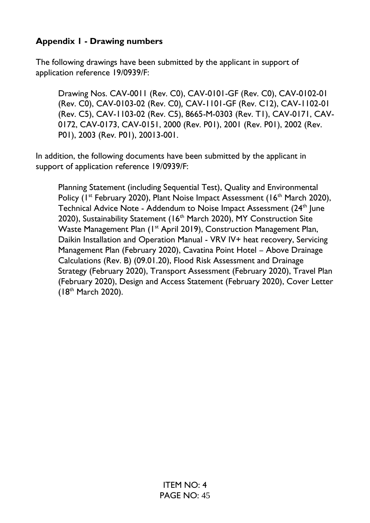# **Appendix 1 - Drawing numbers**

The following drawings have been submitted by the applicant in support of application reference 19/0939/F:

Drawing Nos. CAV-0011 (Rev. C0), CAV-0101-GF (Rev. C0), CAV-0102-01 (Rev. C0), CAV-0103-02 (Rev. C0)*,* CAV-1101-GF (Rev. C12), CAV-1102-01 (Rev. C5), CAV-1103-02 (Rev. C5), 8665-M-0303 (Rev. T1), CAV-0171, CAV-0172, CAV-0173, CAV-0151, 2000 (Rev. P01), 2001 (Rev. P01), 2002 (Rev. P01), 2003 (Rev. P01), 20013-001.

In addition, the following documents have been submitted by the applicant in support of application reference 19/0939/F:

Planning Statement (including Sequential Test), Quality and Environmental Policy (1<sup>st</sup> February 2020), Plant Noise Impact Assessment (16<sup>th</sup> March 2020), Technical Advice Note - Addendum to Noise Impact Assessment (24<sup>th</sup> June 2020), Sustainability Statement (16<sup>th</sup> March 2020), MY Construction Site Waste Management Plan (1<sup>st</sup> April 2019), Construction Management Plan, Daikin Installation and Operation Manual - VRV IV+ heat recovery, Servicing Management Plan (February 2020), Cavatina Point Hotel – Above Drainage Calculations (Rev. B) (09.01.20), Flood Risk Assessment and Drainage Strategy (February 2020), Transport Assessment (February 2020), Travel Plan (February 2020), Design and Access Statement (February 2020), Cover Letter (18th March 2020).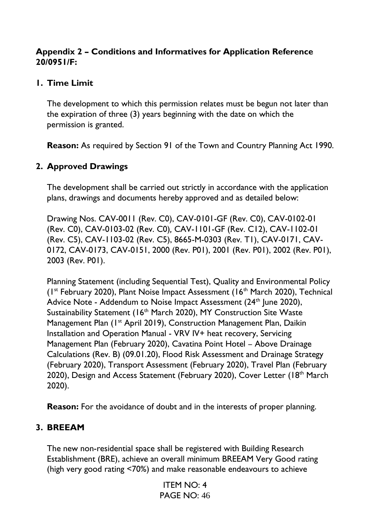# **Appendix 2 – Conditions and Informatives for Application Reference 20/0951/F:**

# **1. Time Limit**

The development to which this permission relates must be begun not later than the expiration of three (3) years beginning with the date on which the permission is granted.

**Reason:** As required by Section 91 of the Town and Country Planning Act 1990.

# **2. Approved Drawings**

The development shall be carried out strictly in accordance with the application plans, drawings and documents hereby approved and as detailed below:

Drawing Nos. CAV-0011 (Rev. C0), CAV-0101-GF (Rev. C0), CAV-0102-01 (Rev. C0), CAV-0103-02 (Rev. C0)*,* CAV-1101-GF (Rev. C12), CAV-1102-01 (Rev. C5), CAV-1103-02 (Rev. C5), 8665-M-0303 (Rev. T1), CAV-0171, CAV-0172, CAV-0173, CAV-0151, 2000 (Rev. P01), 2001 (Rev. P01), 2002 (Rev. P01), 2003 (Rev. P01).

Planning Statement (including Sequential Test), Quality and Environmental Policy (1st February 2020), Plant Noise Impact Assessment (16th March 2020), Technical Advice Note - Addendum to Noise Impact Assessment (24<sup>th</sup> June 2020), Sustainability Statement (16<sup>th</sup> March 2020), MY Construction Site Waste Management Plan (1<sup>st</sup> April 2019), Construction Management Plan, Daikin Installation and Operation Manual - VRV IV+ heat recovery, Servicing Management Plan (February 2020), Cavatina Point Hotel – Above Drainage Calculations (Rev. B) (09.01.20), Flood Risk Assessment and Drainage Strategy (February 2020), Transport Assessment (February 2020), Travel Plan (February 2020), Design and Access Statement (February 2020), Cover Letter (18<sup>th</sup> March 2020).

**Reason:** For the avoidance of doubt and in the interests of proper planning.

# **3. BREEAM**

The new non-residential space shall be registered with Building Research Establishment (BRE), achieve an overall minimum BREEAM Very Good rating (high very good rating <70%) and make reasonable endeavours to achieve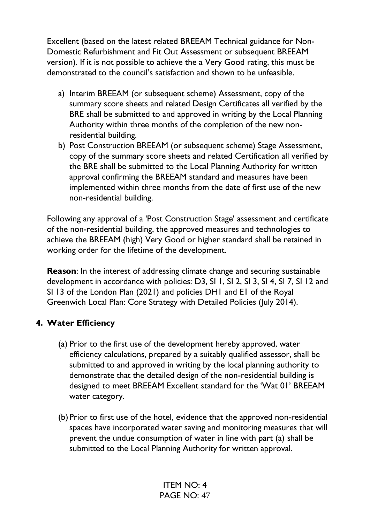Excellent (based on the latest related BREEAM Technical guidance for Non-Domestic Refurbishment and Fit Out Assessment or subsequent BREEAM version). If it is not possible to achieve the a Very Good rating, this must be demonstrated to the council's satisfaction and shown to be unfeasible.

- a) Interim BREEAM (or subsequent scheme) Assessment, copy of the summary score sheets and related Design Certificates all verified by the BRE shall be submitted to and approved in writing by the Local Planning Authority within three months of the completion of the new nonresidential building.
- b) Post Construction BREEAM (or subsequent scheme) Stage Assessment, copy of the summary score sheets and related Certification all verified by the BRE shall be submitted to the Local Planning Authority for written approval confirming the BREEAM standard and measures have been implemented within three months from the date of first use of the new non-residential building.

Following any approval of a 'Post Construction Stage' assessment and certificate of the non-residential building, the approved measures and technologies to achieve the BREEAM (high) Very Good or higher standard shall be retained in working order for the lifetime of the development.

**Reason:** In the interest of addressing climate change and securing sustainable development in accordance with policies: D3, SI 1, SI 2, SI 3, SI 4, SI 7, SI 12 and SI 13 of the London Plan (2021) and policies DH1 and E1 of the Royal Greenwich Local Plan: Core Strategy with Detailed Policies (July 2014).

# **4. Water Efficiency**

- (a) Prior to the first use of the development hereby approved, water efficiency calculations, prepared by a suitably qualified assessor, shall be submitted to and approved in writing by the local planning authority to demonstrate that the detailed design of the non-residential building is designed to meet BREEAM Excellent standard for the 'Wat 01' BREEAM water category.
- (b) Prior to first use of the hotel, evidence that the approved non-residential spaces have incorporated water saving and monitoring measures that will prevent the undue consumption of water in line with part (a) shall be submitted to the Local Planning Authority for written approval.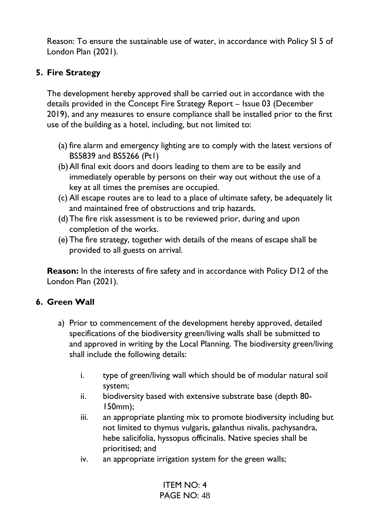Reason: To ensure the sustainable use of water, in accordance with Policy SI 5 of London Plan (2021).

# **5. Fire Strategy**

The development hereby approved shall be carried out in accordance with the details provided in the Concept Fire Strategy Report – Issue 03 (December 2019), and any measures to ensure compliance shall be installed prior to the first use of the building as a hotel, including, but not limited to:

- (a) fire alarm and emergency lighting are to comply with the latest versions of BS5839 and BS5266 (Pt1)
- (b)All final exit doors and doors leading to them are to be easily and immediately operable by persons on their way out without the use of a key at all times the premises are occupied.
- (c) All escape routes are to lead to a place of ultimate safety, be adequately lit and maintained free of obstructions and trip hazards.
- (d)The fire risk assessment is to be reviewed prior, during and upon completion of the works.
- (e) The fire strategy, together with details of the means of escape shall be provided to all guests on arrival.

**Reason:** In the interests of fire safety and in accordance with Policy D12 of the London Plan (2021).

# **6. Green Wall**

- a) Prior to commencement of the development hereby approved, detailed specifications of the biodiversity green/living walls shall be submitted to and approved in writing by the Local Planning. The biodiversity green/living shall include the following details:
	- i. type of green/living wall which should be of modular natural soil system;
	- ii. biodiversity based with extensive substrate base (depth 80- 150mm);
	- iii. an appropriate planting mix to promote biodiversity including but not limited to thymus vulgaris, galanthus nivalis, pachysandra, hebe salicifolia, hyssopus officinalis. Native species shall be prioritised; and
	- iv. an appropriate irrigation system for the green walls;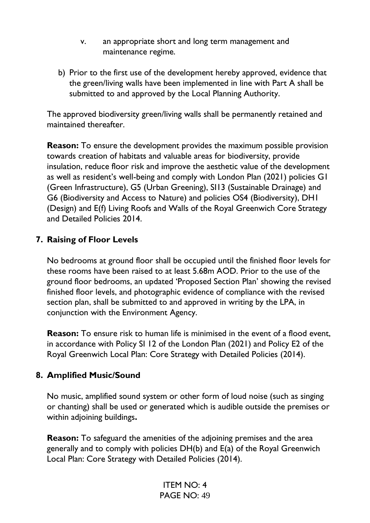- v. an appropriate short and long term management and maintenance regime.
- b) Prior to the first use of the development hereby approved, evidence that the green/living walls have been implemented in line with Part A shall be submitted to and approved by the Local Planning Authority.

The approved biodiversity green/living walls shall be permanently retained and maintained thereafter.

**Reason:** To ensure the development provides the maximum possible provision towards creation of habitats and valuable areas for biodiversity, provide insulation, reduce floor risk and improve the aesthetic value of the development as well as resident's well-being and comply with London Plan (2021) policies G1 (Green Infrastructure), G5 (Urban Greening), SI13 (Sustainable Drainage) and G6 (Biodiversity and Access to Nature) and policies OS4 (Biodiversity), DH1 (Design) and E(f) Living Roofs and Walls of the Royal Greenwich Core Strategy and Detailed Policies 2014.

# **7. Raising of Floor Levels**

No bedrooms at ground floor shall be occupied until the finished floor levels for these rooms have been raised to at least 5.68m AOD. Prior to the use of the ground floor bedrooms, an updated 'Proposed Section Plan' showing the revised finished floor levels, and photographic evidence of compliance with the revised section plan, shall be submitted to and approved in writing by the LPA, in conjunction with the Environment Agency.

**Reason:** To ensure risk to human life is minimised in the event of a flood event, in accordance with Policy SI 12 of the London Plan (2021) and Policy E2 of the Royal Greenwich Local Plan: Core Strategy with Detailed Policies (2014).

#### **8. Amplified Music/Sound**

No music, amplified sound system or other form of loud noise (such as singing or chanting) shall be used or generated which is audible outside the premises or within adjoining buildings**.**

**Reason:** To safeguard the amenities of the adjoining premises and the area generally and to comply with policies DH(b) and E(a) of the Royal Greenwich Local Plan: Core Strategy with Detailed Policies (2014).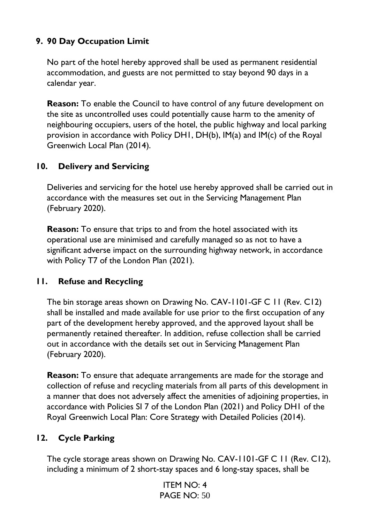# **9. 90 Day Occupation Limit**

No part of the hotel hereby approved shall be used as permanent residential accommodation, and guests are not permitted to stay beyond 90 days in a calendar year.

**Reason:** To enable the Council to have control of any future development on the site as uncontrolled uses could potentially cause harm to the amenity of neighbouring occupiers, users of the hotel, the public highway and local parking provision in accordance with Policy DH1, DH(b), IM(a) and IM(c) of the Royal Greenwich Local Plan (2014).

# **10. Delivery and Servicing**

Deliveries and servicing for the hotel use hereby approved shall be carried out in accordance with the measures set out in the Servicing Management Plan (February 2020).

**Reason:** To ensure that trips to and from the hotel associated with its operational use are minimised and carefully managed so as not to have a significant adverse impact on the surrounding highway network, in accordance with Policy T7 of the London Plan (2021).

# **11. Refuse and Recycling**

The bin storage areas shown on Drawing No. CAV-1101-GF C 11 (Rev. C12) shall be installed and made available for use prior to the first occupation of any part of the development hereby approved, and the approved layout shall be permanently retained thereafter. In addition, refuse collection shall be carried out in accordance with the details set out in Servicing Management Plan (February 2020).

**Reason:** To ensure that adequate arrangements are made for the storage and collection of refuse and recycling materials from all parts of this development in a manner that does not adversely affect the amenities of adjoining properties, in accordance with Policies SI 7 of the London Plan (2021) and Policy DH1 of the Royal Greenwich Local Plan: Core Strategy with Detailed Policies (2014).

# **12. Cycle Parking**

The cycle storage areas shown on Drawing No. CAV-1101-GF C 11 (Rev. C12), including a minimum of 2 short-stay spaces and 6 long-stay spaces, shall be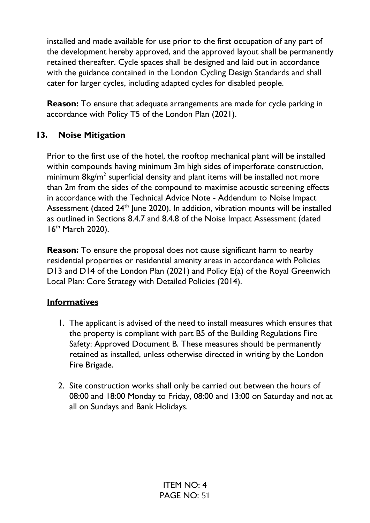installed and made available for use prior to the first occupation of any part of the development hereby approved, and the approved layout shall be permanently retained thereafter. Cycle spaces shall be designed and laid out in accordance with the guidance contained in the London Cycling Design Standards and shall cater for larger cycles, including adapted cycles for disabled people.

**Reason:** To ensure that adequate arrangements are made for cycle parking in accordance with Policy T5 of the London Plan (2021).

# **13. Noise Mitigation**

Prior to the first use of the hotel, the rooftop mechanical plant will be installed within compounds having minimum 3m high sides of imperforate construction, minimum  $8$ kg/m<sup>2</sup> superficial density and plant items will be installed not more than 2m from the sides of the compound to maximise acoustic screening effects in accordance with the Technical Advice Note - Addendum to Noise Impact Assessment (dated 24<sup>th</sup> June 2020). In addition, vibration mounts will be installed as outlined in Sections 8.4.7 and 8.4.8 of the Noise Impact Assessment (dated 16th March 2020).

**Reason:** To ensure the proposal does not cause significant harm to nearby residential properties or residential amenity areas in accordance with Policies D13 and D14 of the London Plan (2021) and Policy E(a) of the Royal Greenwich Local Plan: Core Strategy with Detailed Policies (2014).

# **Informatives**

- 1. The applicant is advised of the need to install measures which ensures that the property is compliant with part B5 of the Building Regulations Fire Safety: Approved Document B. These measures should be permanently retained as installed, unless otherwise directed in writing by the London Fire Brigade.
- 2. Site construction works shall only be carried out between the hours of 08:00 and 18:00 Monday to Friday, 08:00 and 13:00 on Saturday and not at all on Sundays and Bank Holidays.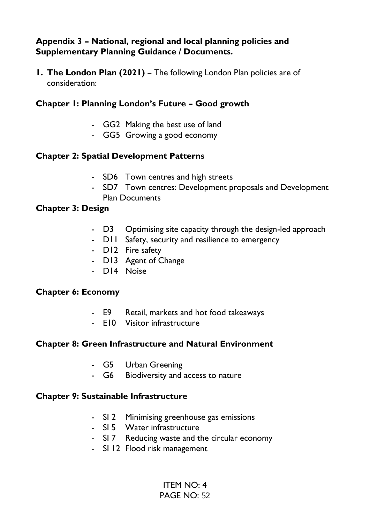# **Appendix 3 – National, regional and local planning policies and Supplementary Planning Guidance / Documents.**

**1. The London Plan (2021)** – The following London Plan policies are of consideration:

# **Chapter 1: Planning London's Future – Good growth**

- GG2 Making the best use of land
- GG5 Growing a good economy

#### **Chapter 2: Spatial Development Patterns**

- SD6 Town centres and high streets
- SD7 Town centres: Development proposals and Development Plan Documents

#### **Chapter 3: Design**

- D3 Optimising site capacity through the design-led approach
- D11 Safety, security and resilience to emergency
- D12 Fire safety
- D13 Agent of Change
- D14 Noise

#### **Chapter 6: Economy**

- E9 Retail, markets and hot food takeaways
- E10 Visitor infrastructure

#### **Chapter 8: Green Infrastructure and Natural Environment**

- G5 Urban Greening
- G6 Biodiversity and access to nature

#### **Chapter 9: Sustainable Infrastructure**

- SI 2 Minimising greenhouse gas emissions
- SI 5 Water infrastructure
- SI 7 Reducing waste and the circular economy
- SI 12 Flood risk management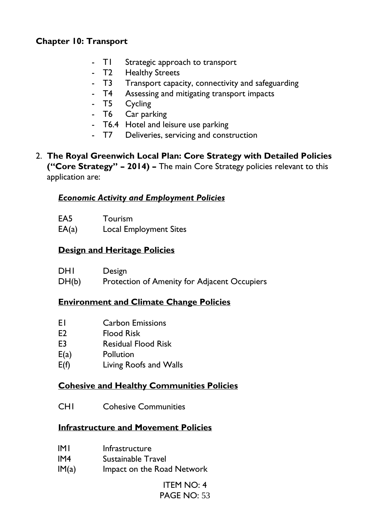# **Chapter 10: Transport**

- T1 Strategic approach to transport
- T2 Healthy Streets
- T3 Transport capacity, connectivity and safeguarding
- T4 Assessing and mitigating transport impacts
- T5 Cycling
- T6 Car parking
- T6.4 Hotel and leisure use parking
- T7 Deliveries, servicing and construction
- 2. **The Royal Greenwich Local Plan: Core Strategy with Detailed Policies ("Core Strategy" – 2014) –** The main Core Strategy policies relevant to this application are:

#### *Economic Activity and Employment Policies*

| EA <sub>5</sub> | Tourism                       |
|-----------------|-------------------------------|
| EA(a)           | <b>Local Employment Sites</b> |

# **Design and Heritage Policies**

| DHI   | Design                                       |
|-------|----------------------------------------------|
| DH(b) | Protection of Amenity for Adjacent Occupiers |

# **Environment and Climate Change Policies**

- E1 Carbon Emissions
- E2 Flood Risk
- E3 Residual Flood Risk
- E(a) Pollution
- E(f) Living Roofs and Walls

# **Cohesive and Healthy Communities Policies**

CH1 Cohesive Communities

#### **Infrastructure and Movement Policies**

- IM1 Infrastructure
- IM4 Sustainable Travel
- IM(a) Impact on the Road Network

# ITEM NO: 4

PAGE NO: 53